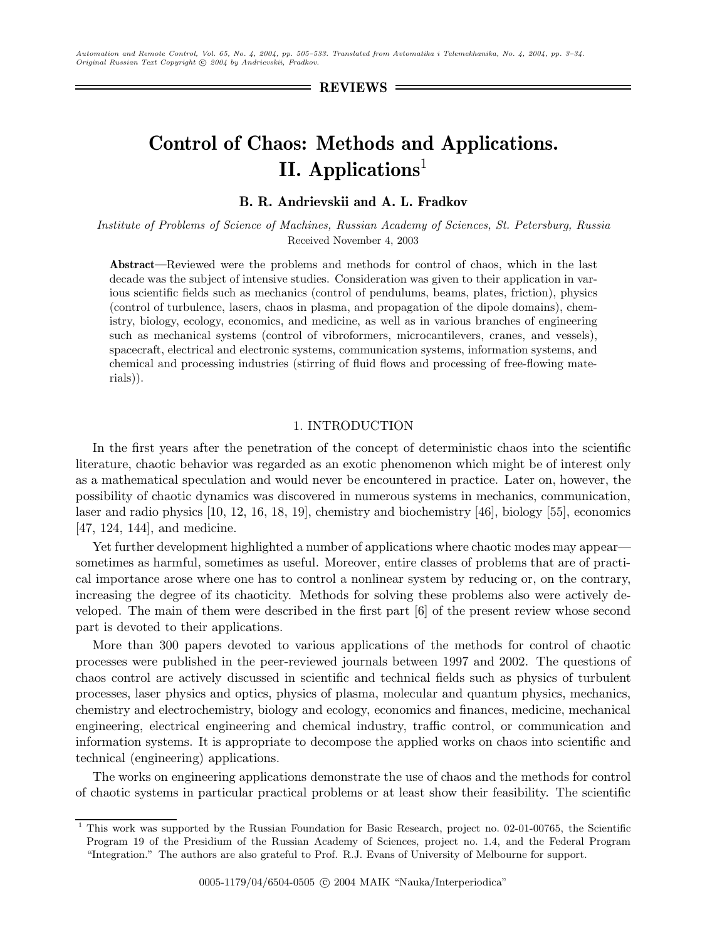Automation and Remote Control, Vol. 65, No. 4, 2004, pp. 505–533. Translated from Avtomatika i Telemekhanika, No. 4, 2004, pp. 3–34. Original Russian Text Copyright © 2004 by Andrievskii, Fradkov.

= REVIEWS =

# **Control of Chaos: Methods and Applications. II. Applications**<sup>1</sup>

# **B. R. Andrievskii and A. L. Fradkov**

Institute of Problems of Science of Machines, Russian Academy of Sciences, St. Petersburg, Russia Received November 4, 2003

**Abstract—**Reviewed were the problems and methods for control of chaos, which in the last decade was the subject of intensive studies. Consideration was given to their application in various scientific fields such as mechanics (control of pendulums, beams, plates, friction), physics (control of turbulence, lasers, chaos in plasma, and propagation of the dipole domains), chemistry, biology, ecology, economics, and medicine, as well as in various branches of engineering such as mechanical systems (control of vibroformers, microcantilevers, cranes, and vessels), spacecraft, electrical and electronic systems, communication systems, information systems, and chemical and processing industries (stirring of fluid flows and processing of free-flowing materials)).

# 1. INTRODUCTION

In the first years after the penetration of the concept of deterministic chaos into the scientific literature, chaotic behavior was regarded as an exotic phenomenon which might be of interest only as a mathematical speculation and would never be encountered in practice. Later on, however, the possibility of chaotic dynamics was discovered in numerous systems in mechanics, communication, laser and radio physics [10, 12, 16, 18, 19], chemistry and biochemistry [46], biology [55], economics [47, 124, 144], and medicine.

Yet further development highlighted a number of applications where chaotic modes may appear sometimes as harmful, sometimes as useful. Moreover, entire classes of problems that are of practical importance arose where one has to control a nonlinear system by reducing or, on the contrary, increasing the degree of its chaoticity. Methods for solving these problems also were actively developed. The main of them were described in the first part [6] of the present review whose second part is devoted to their applications.

More than 300 papers devoted to various applications of the methods for control of chaotic processes were published in the peer-reviewed journals between 1997 and 2002. The questions of chaos control are actively discussed in scientific and technical fields such as physics of turbulent processes, laser physics and optics, physics of plasma, molecular and quantum physics, mechanics, chemistry and electrochemistry, biology and ecology, economics and finances, medicine, mechanical engineering, electrical engineering and chemical industry, traffic control, or communication and information systems. It is appropriate to decompose the applied works on chaos into scientific and technical (engineering) applications.

The works on engineering applications demonstrate the use of chaos and the methods for control of chaotic systems in particular practical problems or at least show their feasibility. The scientific

<sup>1</sup> This work was supported by the Russian Foundation for Basic Research, project no. 02-01-00765, the Scientific Program 19 of the Presidium of the Russian Academy of Sciences, project no. 1.4, and the Federal Program "Integration." The authors are also grateful to Prof. R.J. Evans of University of Melbourne for support.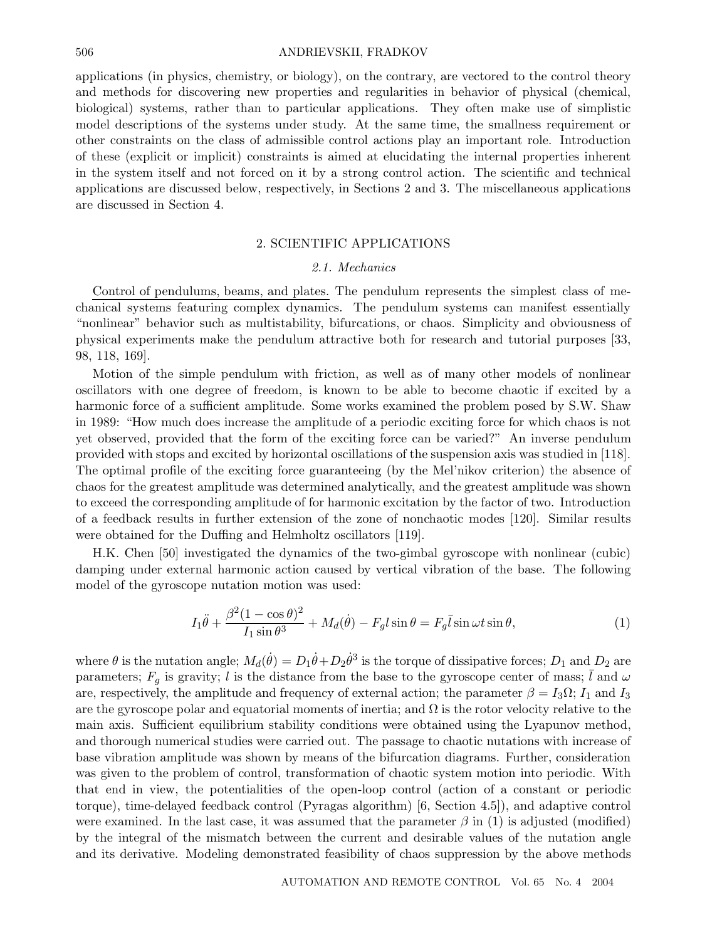applications (in physics, chemistry, or biology), on the contrary, are vectored to the control theory and methods for discovering new properties and regularities in behavior of physical (chemical, biological) systems, rather than to particular applications. They often make use of simplistic model descriptions of the systems under study. At the same time, the smallness requirement or other constraints on the class of admissible control actions play an important role. Introduction of these (explicit or implicit) constraints is aimed at elucidating the internal properties inherent in the system itself and not forced on it by a strong control action. The scientific and technical applications are discussed below, respectively, in Sections 2 and 3. The miscellaneous applications are discussed in Section 4.

# 2. SCIENTIFIC APPLICATIONS

# 2.1. Mechanics

Control of pendulums, beams, and plates. The pendulum represents the simplest class of mechanical systems featuring complex dynamics. The pendulum systems can manifest essentially "nonlinear" behavior such as multistability, bifurcations, or chaos. Simplicity and obviousness of physical experiments make the pendulum attractive both for research and tutorial purposes [33, 98, 118, 169].

Motion of the simple pendulum with friction, as well as of many other models of nonlinear oscillators with one degree of freedom, is known to be able to become chaotic if excited by a harmonic force of a sufficient amplitude. Some works examined the problem posed by S.W. Shaw in 1989: "How much does increase the amplitude of a periodic exciting force for which chaos is not yet observed, provided that the form of the exciting force can be varied?" An inverse pendulum provided with stops and excited by horizontal oscillations of the suspension axis was studied in [118]. The optimal profile of the exciting force guaranteeing (by the Mel'nikov criterion) the absence of chaos for the greatest amplitude was determined analytically, and the greatest amplitude was shown to exceed the corresponding amplitude of for harmonic excitation by the factor of two. Introduction of a feedback results in further extension of the zone of nonchaotic modes [120]. Similar results were obtained for the Duffing and Helmholtz oscillators [119].

H.K. Chen [50] investigated the dynamics of the two-gimbal gyroscope with nonlinear (cubic) damping under external harmonic action caused by vertical vibration of the base. The following model of the gyroscope nutation motion was used:

$$
I_1\ddot{\theta} + \frac{\beta^2(1-\cos\theta)^2}{I_1\sin\theta^3} + M_d(\dot{\theta}) - F_g l\sin\theta = F_g \bar{l}\sin\omega t \sin\theta,\tag{1}
$$

where  $\theta$  is the nutation angle;  $M_d(\dot{\theta}) = D_1 \dot{\theta} + D_2 \dot{\theta}^3$  is the torque of dissipative forces;  $D_1$  and  $D_2$  are parameters;  $F_q$  is gravity; l is the distance from the base to the gyroscope center of mass;  $\bar{l}$  and  $\omega$ are, respectively, the amplitude and frequency of external action; the parameter  $\beta = I_3 \Omega$ ;  $I_1$  and  $I_3$ are the gyroscope polar and equatorial moments of inertia; and  $\Omega$  is the rotor velocity relative to the main axis. Sufficient equilibrium stability conditions were obtained using the Lyapunov method, and thorough numerical studies were carried out. The passage to chaotic nutations with increase of base vibration amplitude was shown by means of the bifurcation diagrams. Further, consideration was given to the problem of control, transformation of chaotic system motion into periodic. With that end in view, the potentialities of the open-loop control (action of a constant or periodic torque), time-delayed feedback control (Pyragas algorithm) [6, Section 4.5]), and adaptive control were examined. In the last case, it was assumed that the parameter  $\beta$  in (1) is adjusted (modified) by the integral of the mismatch between the current and desirable values of the nutation angle and its derivative. Modeling demonstrated feasibility of chaos suppression by the above methods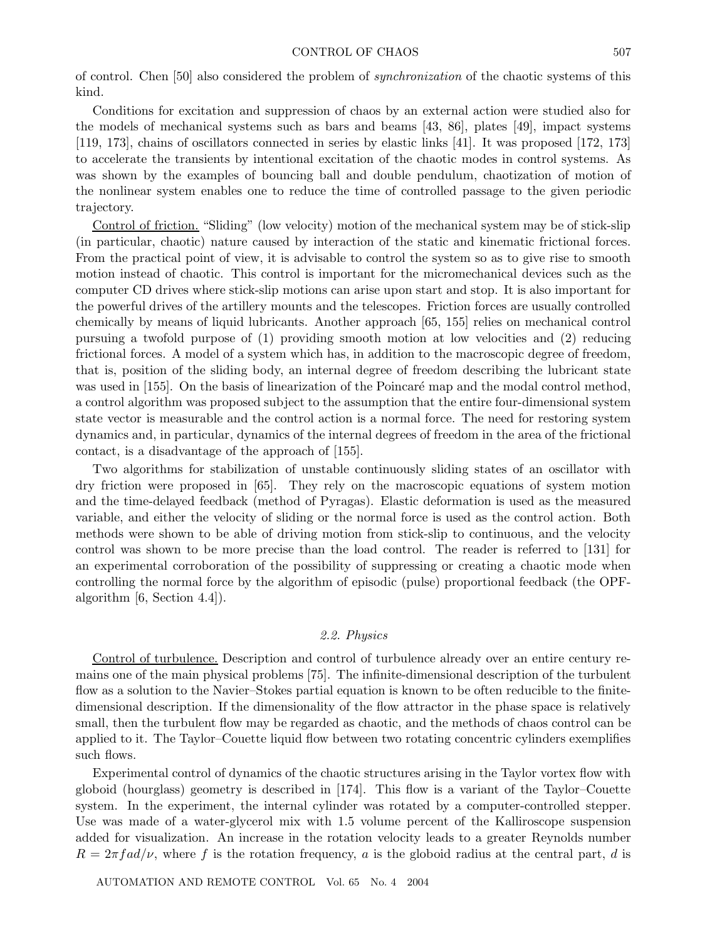kind.

of control. Chen [50] also considered the problem of synchronization of the chaotic systems of this

Conditions for excitation and suppression of chaos by an external action were studied also for the models of mechanical systems such as bars and beams [43, 86], plates [49], impact systems [119, 173], chains of oscillators connected in series by elastic links [41]. It was proposed [172, 173] to accelerate the transients by intentional excitation of the chaotic modes in control systems. As was shown by the examples of bouncing ball and double pendulum, chaotization of motion of the nonlinear system enables one to reduce the time of controlled passage to the given periodic trajectory.

Control of friction. "Sliding" (low velocity) motion of the mechanical system may be of stick-slip (in particular, chaotic) nature caused by interaction of the static and kinematic frictional forces. From the practical point of view, it is advisable to control the system so as to give rise to smooth motion instead of chaotic. This control is important for the micromechanical devices such as the computer CD drives where stick-slip motions can arise upon start and stop. It is also important for the powerful drives of the artillery mounts and the telescopes. Friction forces are usually controlled chemically by means of liquid lubricants. Another approach [65, 155] relies on mechanical control pursuing a twofold purpose of (1) providing smooth motion at low velocities and (2) reducing frictional forces. A model of a system which has, in addition to the macroscopic degree of freedom, that is, position of the sliding body, an internal degree of freedom describing the lubricant state was used in  $[155]$ . On the basis of linearization of the Poincaré map and the modal control method, a control algorithm was proposed subject to the assumption that the entire four-dimensional system state vector is measurable and the control action is a normal force. The need for restoring system dynamics and, in particular, dynamics of the internal degrees of freedom in the area of the frictional contact, is a disadvantage of the approach of [155].

Two algorithms for stabilization of unstable continuously sliding states of an oscillator with dry friction were proposed in [65]. They rely on the macroscopic equations of system motion and the time-delayed feedback (method of Pyragas). Elastic deformation is used as the measured variable, and either the velocity of sliding or the normal force is used as the control action. Both methods were shown to be able of driving motion from stick-slip to continuous, and the velocity control was shown to be more precise than the load control. The reader is referred to [131] for an experimental corroboration of the possibility of suppressing or creating a chaotic mode when controlling the normal force by the algorithm of episodic (pulse) proportional feedback (the OPFalgorithm [6, Section 4.4]).

# 2.2. Physics

Control of turbulence. Description and control of turbulence already over an entire century remains one of the main physical problems [75]. The infinite-dimensional description of the turbulent flow as a solution to the Navier–Stokes partial equation is known to be often reducible to the finitedimensional description. If the dimensionality of the flow attractor in the phase space is relatively small, then the turbulent flow may be regarded as chaotic, and the methods of chaos control can be applied to it. The Taylor–Couette liquid flow between two rotating concentric cylinders exemplifies such flows.

Experimental control of dynamics of the chaotic structures arising in the Taylor vortex flow with globoid (hourglass) geometry is described in [174]. This flow is a variant of the Taylor–Couette system. In the experiment, the internal cylinder was rotated by a computer-controlled stepper. Use was made of a water-glycerol mix with 1.5 volume percent of the Kalliroscope suspension added for visualization. An increase in the rotation velocity leads to a greater Reynolds number  $R = 2\pi f a d/\nu$ , where f is the rotation frequency, a is the globoid radius at the central part, d is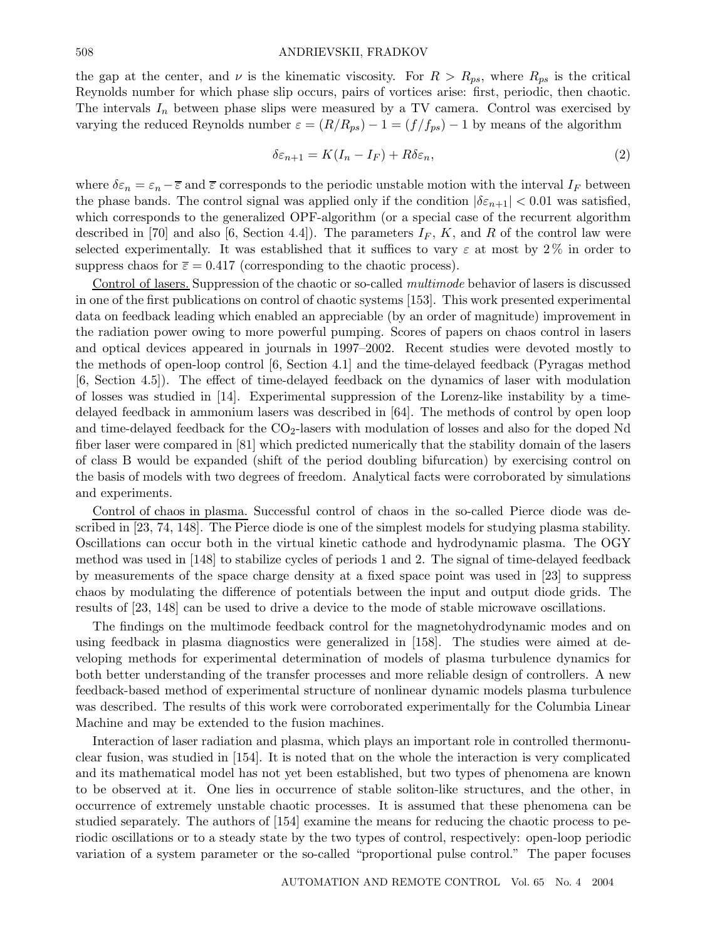the gap at the center, and  $\nu$  is the kinematic viscosity. For  $R>R_{ps}$ , where  $R_{ps}$  is the critical Reynolds number for which phase slip occurs, pairs of vortices arise: first, periodic, then chaotic. The intervals  $I_n$  between phase slips were measured by a TV camera. Control was exercised by varying the reduced Reynolds number  $\varepsilon = (R/R_{ps}) - 1 = (f/f_{ps}) - 1$  by means of the algorithm

$$
\delta \varepsilon_{n+1} = K(I_n - I_F) + R \delta \varepsilon_n, \tag{2}
$$

where  $\delta \varepsilon_n = \varepsilon_n - \overline{\varepsilon}$  and  $\overline{\varepsilon}$  corresponds to the periodic unstable motion with the interval  $I_F$  between the phase bands. The control signal was applied only if the condition  $|\delta \varepsilon_{n+1}| < 0.01$  was satisfied, which corresponds to the generalized OPF-algorithm (or a special case of the recurrent algorithm described in [70] and also [6, Section 4.4]). The parameters  $I_F$ , K, and R of the control law were selected experimentally. It was established that it suffices to vary  $\varepsilon$  at most by 2% in order to suppress chaos for  $\overline{\epsilon} = 0.417$  (corresponding to the chaotic process).

Control of lasers. Suppression of the chaotic or so-called multimode behavior of lasers is discussed in one of the first publications on control of chaotic systems [153]. This work presented experimental data on feedback leading which enabled an appreciable (by an order of magnitude) improvement in the radiation power owing to more powerful pumping. Scores of papers on chaos control in lasers and optical devices appeared in journals in 1997–2002. Recent studies were devoted mostly to the methods of open-loop control [6, Section 4.1] and the time-delayed feedback (Pyragas method [6, Section 4.5]). The effect of time-delayed feedback on the dynamics of laser with modulation of losses was studied in [14]. Experimental suppression of the Lorenz-like instability by a timedelayed feedback in ammonium lasers was described in [64]. The methods of control by open loop and time-delayed feedback for the  $CO<sub>2</sub>$ -lasers with modulation of losses and also for the doped Nd fiber laser were compared in [81] which predicted numerically that the stability domain of the lasers of class B would be expanded (shift of the period doubling bifurcation) by exercising control on the basis of models with two degrees of freedom. Analytical facts were corroborated by simulations and experiments.

Control of chaos in plasma. Successful control of chaos in the so-called Pierce diode was described in [23, 74, 148]. The Pierce diode is one of the simplest models for studying plasma stability. Oscillations can occur both in the virtual kinetic cathode and hydrodynamic plasma. The OGY method was used in [148] to stabilize cycles of periods 1 and 2. The signal of time-delayed feedback by measurements of the space charge density at a fixed space point was used in [23] to suppress chaos by modulating the difference of potentials between the input and output diode grids. The results of [23, 148] can be used to drive a device to the mode of stable microwave oscillations.

The findings on the multimode feedback control for the magnetohydrodynamic modes and on using feedback in plasma diagnostics were generalized in [158]. The studies were aimed at developing methods for experimental determination of models of plasma turbulence dynamics for both better understanding of the transfer processes and more reliable design of controllers. A new feedback-based method of experimental structure of nonlinear dynamic models plasma turbulence was described. The results of this work were corroborated experimentally for the Columbia Linear Machine and may be extended to the fusion machines.

Interaction of laser radiation and plasma, which plays an important role in controlled thermonuclear fusion, was studied in [154]. It is noted that on the whole the interaction is very complicated and its mathematical model has not yet been established, but two types of phenomena are known to be observed at it. One lies in occurrence of stable soliton-like structures, and the other, in occurrence of extremely unstable chaotic processes. It is assumed that these phenomena can be studied separately. The authors of [154] examine the means for reducing the chaotic process to periodic oscillations or to a steady state by the two types of control, respectively: open-loop periodic variation of a system parameter or the so-called "proportional pulse control." The paper focuses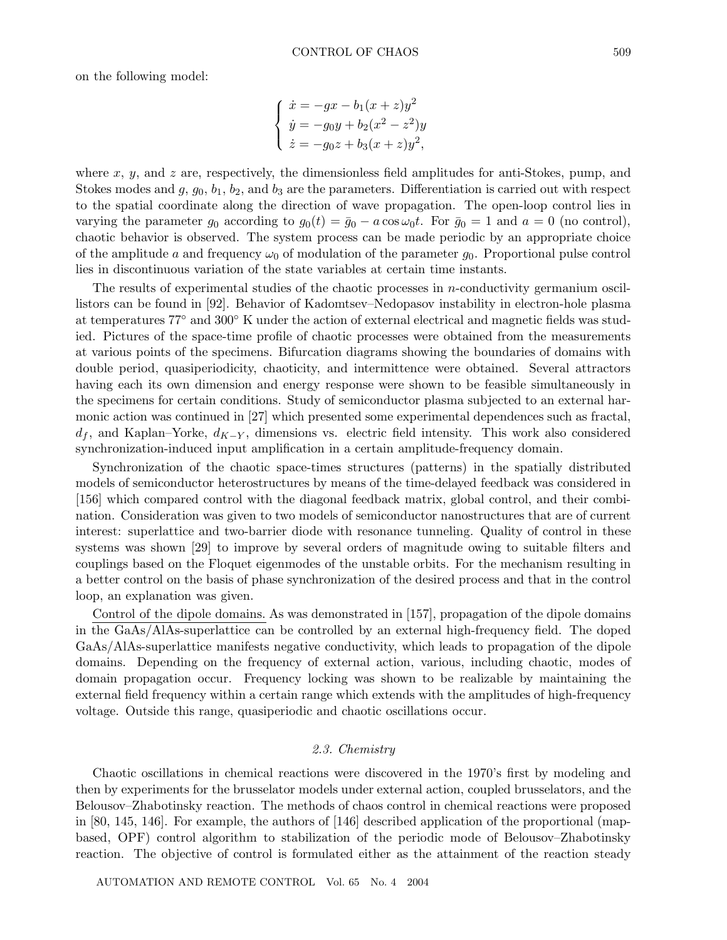on the following model:

$$
\begin{cases}\n\dot{x} = -gx - b_1(x+z)y^2 \\
\dot{y} = -g_0y + b_2(x^2 - z^2)y \\
\dot{z} = -g_0z + b_3(x+z)y^2,\n\end{cases}
$$

where x, y, and z are, respectively, the dimensionless field amplitudes for anti-Stokes, pump, and Stokes modes and  $g, g_0, b_1, b_2$ , and  $b_3$  are the parameters. Differentiation is carried out with respect to the spatial coordinate along the direction of wave propagation. The open-loop control lies in varying the parameter  $g_0$  according to  $g_0(t)=\bar{g}_0 - a \cos \omega_0 t$ . For  $\bar{g}_0 = 1$  and  $a = 0$  (no control), chaotic behavior is observed. The system process can be made periodic by an appropriate choice of the amplitude a and frequency  $\omega_0$  of modulation of the parameter  $g_0$ . Proportional pulse control lies in discontinuous variation of the state variables at certain time instants.

The results of experimental studies of the chaotic processes in  $n$ -conductivity germanium oscillistors can be found in [92]. Behavior of Kadomtsev–Nedopasov instability in electron-hole plasma at temperatures 77◦ and 300◦ K under the action of external electrical and magnetic fields was studied. Pictures of the space-time profile of chaotic processes were obtained from the measurements at various points of the specimens. Bifurcation diagrams showing the boundaries of domains with double period, quasiperiodicity, chaoticity, and intermittence were obtained. Several attractors having each its own dimension and energy response were shown to be feasible simultaneously in the specimens for certain conditions. Study of semiconductor plasma subjected to an external harmonic action was continued in [27] which presented some experimental dependences such as fractal,  $d_f$ , and Kaplan–Yorke,  $d_{K-Y}$ , dimensions vs. electric field intensity. This work also considered synchronization-induced input amplification in a certain amplitude-frequency domain.

Synchronization of the chaotic space-times structures (patterns) in the spatially distributed models of semiconductor heterostructures by means of the time-delayed feedback was considered in [156] which compared control with the diagonal feedback matrix, global control, and their combination. Consideration was given to two models of semiconductor nanostructures that are of current interest: superlattice and two-barrier diode with resonance tunneling. Quality of control in these systems was shown [29] to improve by several orders of magnitude owing to suitable filters and couplings based on the Floquet eigenmodes of the unstable orbits. For the mechanism resulting in a better control on the basis of phase synchronization of the desired process and that in the control loop, an explanation was given.

Control of the dipole domains. As was demonstrated in [157], propagation of the dipole domains in the GaAs/AlAs-superlattice can be controlled by an external high-frequency field. The doped GaAs/AlAs-superlattice manifests negative conductivity, which leads to propagation of the dipole domains. Depending on the frequency of external action, various, including chaotic, modes of domain propagation occur. Frequency locking was shown to be realizable by maintaining the external field frequency within a certain range which extends with the amplitudes of high-frequency voltage. Outside this range, quasiperiodic and chaotic oscillations occur.

# 2.3. Chemistry

Chaotic oscillations in chemical reactions were discovered in the 1970's first by modeling and then by experiments for the brusselator models under external action, coupled brusselators, and the Belousov–Zhabotinsky reaction. The methods of chaos control in chemical reactions were proposed in [80, 145, 146]. For example, the authors of [146] described application of the proportional (mapbased, OPF) control algorithm to stabilization of the periodic mode of Belousov–Zhabotinsky reaction. The objective of control is formulated either as the attainment of the reaction steady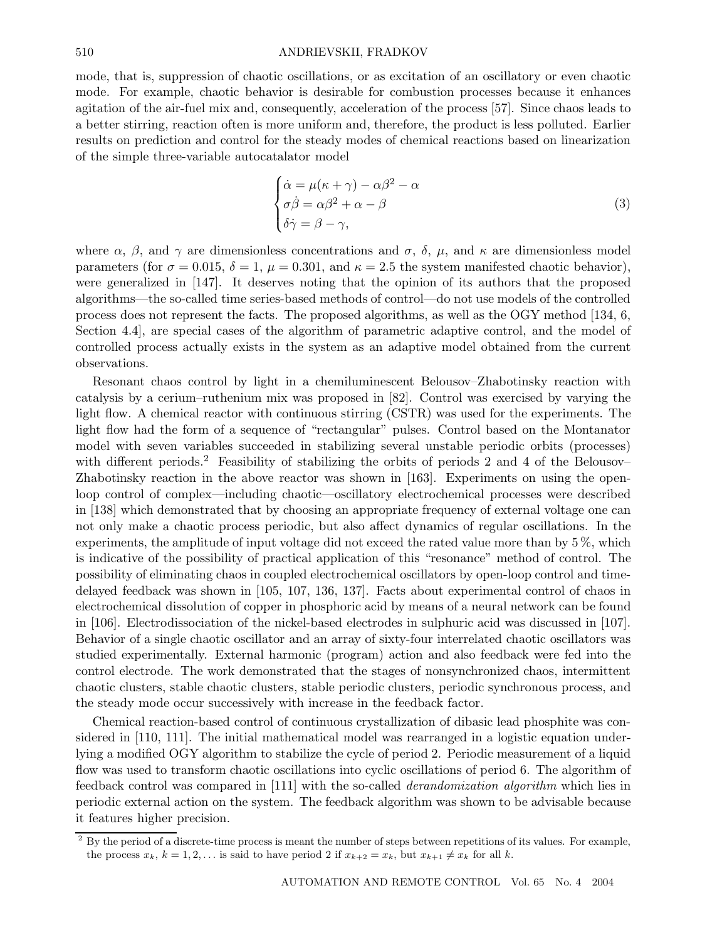mode, that is, suppression of chaotic oscillations, or as excitation of an oscillatory or even chaotic mode. For example, chaotic behavior is desirable for combustion processes because it enhances agitation of the air-fuel mix and, consequently, acceleration of the process [57]. Since chaos leads to a better stirring, reaction often is more uniform and, therefore, the product is less polluted. Earlier results on prediction and control for the steady modes of chemical reactions based on linearization of the simple three-variable autocatalator model

$$
\begin{cases}\n\dot{\alpha} = \mu(\kappa + \gamma) - \alpha \beta^2 - \alpha \\
\sigma \dot{\beta} = \alpha \beta^2 + \alpha - \beta \\
\delta \dot{\gamma} = \beta - \gamma,\n\end{cases} (3)
$$

where  $\alpha$ ,  $\beta$ , and  $\gamma$  are dimensionless concentrations and  $\sigma$ ,  $\delta$ ,  $\mu$ , and  $\kappa$  are dimensionless model parameters (for  $\sigma = 0.015$ ,  $\delta = 1$ ,  $\mu = 0.301$ , and  $\kappa = 2.5$  the system manifested chaotic behavior), were generalized in [147]. It deserves noting that the opinion of its authors that the proposed algorithms—the so-called time series-based methods of control—do not use models of the controlled process does not represent the facts. The proposed algorithms, as well as the OGY method [134, 6, Section 4.4], are special cases of the algorithm of parametric adaptive control, and the model of controlled process actually exists in the system as an adaptive model obtained from the current observations.

Resonant chaos control by light in a chemiluminescent Belousov–Zhabotinsky reaction with catalysis by a cerium–ruthenium mix was proposed in [82]. Control was exercised by varying the light flow. A chemical reactor with continuous stirring (CSTR) was used for the experiments. The light flow had the form of a sequence of "rectangular" pulses. Control based on the Montanator model with seven variables succeeded in stabilizing several unstable periodic orbits (processes) with different periods.<sup>2</sup> Feasibility of stabilizing the orbits of periods 2 and 4 of the Belousov– Zhabotinsky reaction in the above reactor was shown in [163]. Experiments on using the openloop control of complex—including chaotic—oscillatory electrochemical processes were described in [138] which demonstrated that by choosing an appropriate frequency of external voltage one can not only make a chaotic process periodic, but also affect dynamics of regular oscillations. In the experiments, the amplitude of input voltage did not exceed the rated value more than by 5 %, which is indicative of the possibility of practical application of this "resonance" method of control. The possibility of eliminating chaos in coupled electrochemical oscillators by open-loop control and timedelayed feedback was shown in [105, 107, 136, 137]. Facts about experimental control of chaos in electrochemical dissolution of copper in phosphoric acid by means of a neural network can be found in [106]. Electrodissociation of the nickel-based electrodes in sulphuric acid was discussed in [107]. Behavior of a single chaotic oscillator and an array of sixty-four interrelated chaotic oscillators was studied experimentally. External harmonic (program) action and also feedback were fed into the control electrode. The work demonstrated that the stages of nonsynchronized chaos, intermittent chaotic clusters, stable chaotic clusters, stable periodic clusters, periodic synchronous process, and the steady mode occur successively with increase in the feedback factor.

Chemical reaction-based control of continuous crystallization of dibasic lead phosphite was considered in [110, 111]. The initial mathematical model was rearranged in a logistic equation underlying a modified OGY algorithm to stabilize the cycle of period 2. Periodic measurement of a liquid flow was used to transform chaotic oscillations into cyclic oscillations of period 6. The algorithm of feedback control was compared in [111] with the so-called derandomization algorithm which lies in periodic external action on the system. The feedback algorithm was shown to be advisable because it features higher precision.

<sup>&</sup>lt;sup>2</sup> By the period of a discrete-time process is meant the number of steps between repetitions of its values. For example, the process  $x_k$ ,  $k = 1, 2, \ldots$  is said to have period 2 if  $x_{k+2} = x_k$ , but  $x_{k+1} \neq x_k$  for all k.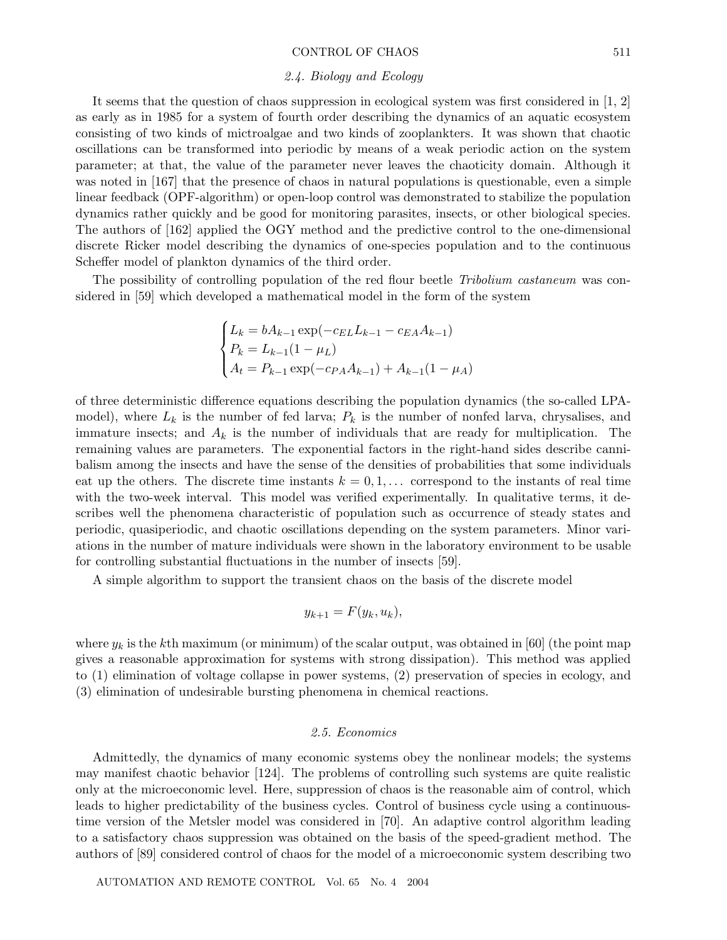#### 2.4. Biology and Ecology

It seems that the question of chaos suppression in ecological system was first considered in [1, 2] as early as in 1985 for a system of fourth order describing the dynamics of an aquatic ecosystem consisting of two kinds of mictroalgae and two kinds of zooplankters. It was shown that chaotic oscillations can be transformed into periodic by means of a weak periodic action on the system parameter; at that, the value of the parameter never leaves the chaoticity domain. Although it was noted in [167] that the presence of chaos in natural populations is questionable, even a simple linear feedback (OPF-algorithm) or open-loop control was demonstrated to stabilize the population dynamics rather quickly and be good for monitoring parasites, insects, or other biological species. The authors of [162] applied the OGY method and the predictive control to the one-dimensional discrete Ricker model describing the dynamics of one-species population and to the continuous Scheffer model of plankton dynamics of the third order.

The possibility of controlling population of the red flour beetle *Tribolium castaneum* was considered in [59] which developed a mathematical model in the form of the system

$$
\begin{cases}\nL_k = bA_{k-1} \exp(-c_{EL}L_{k-1} - c_{EA}A_{k-1}) \\
P_k = L_{k-1}(1 - \mu_L) \\
A_t = P_{k-1} \exp(-c_{PA}A_{k-1}) + A_{k-1}(1 - \mu_A)\n\end{cases}
$$

of three deterministic difference equations describing the population dynamics (the so-called LPAmodel), where  $L_k$  is the number of fed larva;  $P_k$  is the number of nonfed larva, chrysalises, and immature insects; and  $A_k$  is the number of individuals that are ready for multiplication. The remaining values are parameters. The exponential factors in the right-hand sides describe cannibalism among the insects and have the sense of the densities of probabilities that some individuals eat up the others. The discrete time instants  $k = 0, 1, \ldots$  correspond to the instants of real time with the two-week interval. This model was verified experimentally. In qualitative terms, it describes well the phenomena characteristic of population such as occurrence of steady states and periodic, quasiperiodic, and chaotic oscillations depending on the system parameters. Minor variations in the number of mature individuals were shown in the laboratory environment to be usable for controlling substantial fluctuations in the number of insects [59].

A simple algorithm to support the transient chaos on the basis of the discrete model

$$
y_{k+1} = F(y_k, u_k),
$$

where  $y_k$  is the kth maximum (or minimum) of the scalar output, was obtained in [60] (the point map gives a reasonable approximation for systems with strong dissipation). This method was applied to (1) elimination of voltage collapse in power systems, (2) preservation of species in ecology, and (3) elimination of undesirable bursting phenomena in chemical reactions.

# 2.5. Economics

Admittedly, the dynamics of many economic systems obey the nonlinear models; the systems may manifest chaotic behavior [124]. The problems of controlling such systems are quite realistic only at the microeconomic level. Here, suppression of chaos is the reasonable aim of control, which leads to higher predictability of the business cycles. Control of business cycle using a continuoustime version of the Metsler model was considered in [70]. An adaptive control algorithm leading to a satisfactory chaos suppression was obtained on the basis of the speed-gradient method. The authors of [89] considered control of chaos for the model of a microeconomic system describing two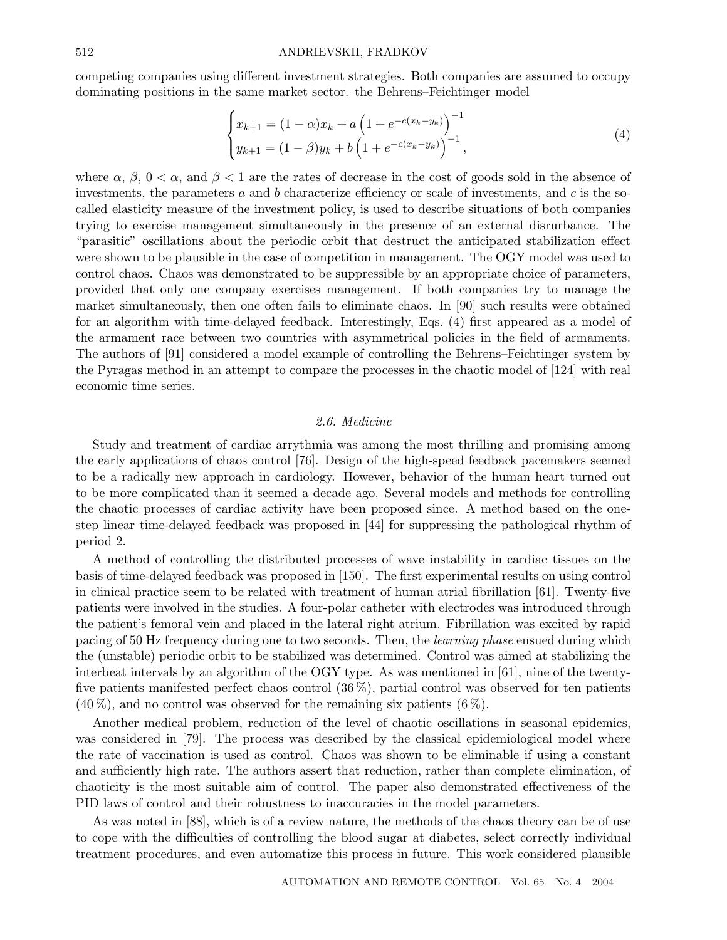competing companies using different investment strategies. Both companies are assumed to occupy dominating positions in the same market sector. the Behrens–Feichtinger model

$$
\begin{cases} x_{k+1} = (1 - \alpha)x_k + a\left(1 + e^{-c(x_k - y_k)}\right)^{-1} \\ y_{k+1} = (1 - \beta)y_k + b\left(1 + e^{-c(x_k - y_k)}\right)^{-1}, \end{cases} \tag{4}
$$

where  $\alpha$ ,  $\beta$ ,  $0 < \alpha$ , and  $\beta < 1$  are the rates of decrease in the cost of goods sold in the absence of investments, the parameters a and b characterize efficiency or scale of investments, and c is the socalled elasticity measure of the investment policy, is used to describe situations of both companies trying to exercise management simultaneously in the presence of an external disrurbance. The "parasitic" oscillations about the periodic orbit that destruct the anticipated stabilization effect were shown to be plausible in the case of competition in management. The OGY model was used to control chaos. Chaos was demonstrated to be suppressible by an appropriate choice of parameters, provided that only one company exercises management. If both companies try to manage the market simultaneously, then one often fails to eliminate chaos. In [90] such results were obtained for an algorithm with time-delayed feedback. Interestingly, Eqs. (4) first appeared as a model of the armament race between two countries with asymmetrical policies in the field of armaments. The authors of [91] considered a model example of controlling the Behrens–Feichtinger system by the Pyragas method in an attempt to compare the processes in the chaotic model of [124] with real economic time series.

#### 2.6. Medicine

Study and treatment of cardiac arrythmia was among the most thrilling and promising among the early applications of chaos control [76]. Design of the high-speed feedback pacemakers seemed to be a radically new approach in cardiology. However, behavior of the human heart turned out to be more complicated than it seemed a decade ago. Several models and methods for controlling the chaotic processes of cardiac activity have been proposed since. A method based on the onestep linear time-delayed feedback was proposed in [44] for suppressing the pathological rhythm of period 2.

A method of controlling the distributed processes of wave instability in cardiac tissues on the basis of time-delayed feedback was proposed in [150]. The first experimental results on using control in clinical practice seem to be related with treatment of human atrial fibrillation [61]. Twenty-five patients were involved in the studies. A four-polar catheter with electrodes was introduced through the patient's femoral vein and placed in the lateral right atrium. Fibrillation was excited by rapid pacing of 50 Hz frequency during one to two seconds. Then, the learning phase ensued during which the (unstable) periodic orbit to be stabilized was determined. Control was aimed at stabilizing the interbeat intervals by an algorithm of the OGY type. As was mentioned in [61], nine of the twentyfive patients manifested perfect chaos control (36 %), partial control was observed for ten patients  $(40\%)$ , and no control was observed for the remaining six patients  $(6\%)$ .

Another medical problem, reduction of the level of chaotic oscillations in seasonal epidemics, was considered in [79]. The process was described by the classical epidemiological model where the rate of vaccination is used as control. Chaos was shown to be eliminable if using a constant and sufficiently high rate. The authors assert that reduction, rather than complete elimination, of chaoticity is the most suitable aim of control. The paper also demonstrated effectiveness of the PID laws of control and their robustness to inaccuracies in the model parameters.

As was noted in [88], which is of a review nature, the methods of the chaos theory can be of use to cope with the difficulties of controlling the blood sugar at diabetes, select correctly individual treatment procedures, and even automatize this process in future. This work considered plausible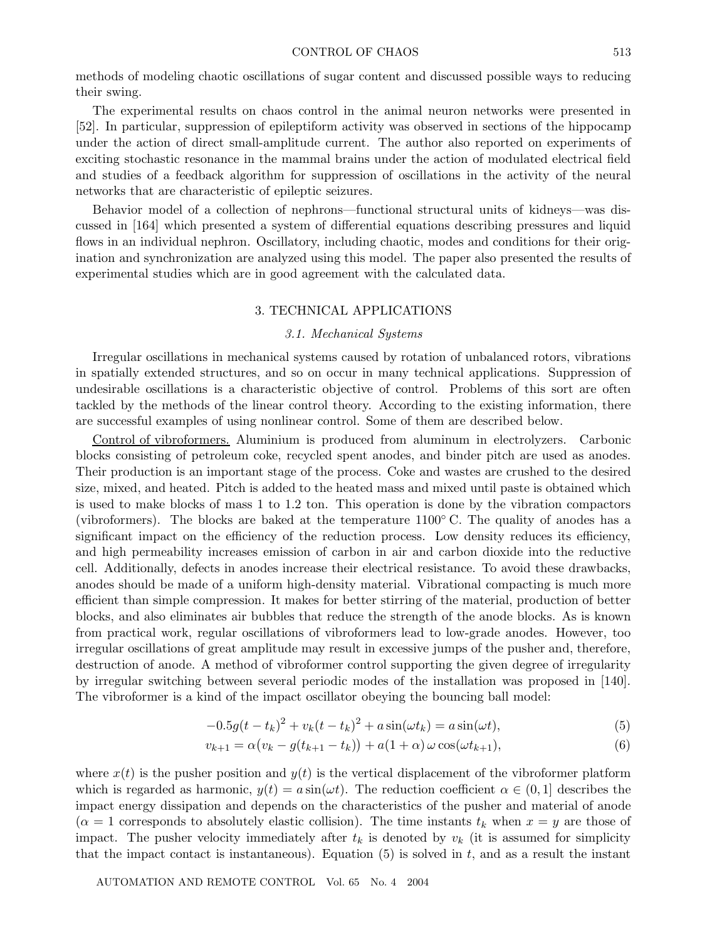methods of modeling chaotic oscillations of sugar content and discussed possible ways to reducing their swing.

The experimental results on chaos control in the animal neuron networks were presented in [52]. In particular, suppression of epileptiform activity was observed in sections of the hippocamp under the action of direct small-amplitude current. The author also reported on experiments of exciting stochastic resonance in the mammal brains under the action of modulated electrical field and studies of a feedback algorithm for suppression of oscillations in the activity of the neural networks that are characteristic of epileptic seizures.

Behavior model of a collection of nephrons—functional structural units of kidneys—was discussed in [164] which presented a system of differential equations describing pressures and liquid flows in an individual nephron. Oscillatory, including chaotic, modes and conditions for their origination and synchronization are analyzed using this model. The paper also presented the results of experimental studies which are in good agreement with the calculated data.

#### 3. TECHNICAL APPLICATIONS

#### 3.1. Mechanical Systems

Irregular oscillations in mechanical systems caused by rotation of unbalanced rotors, vibrations in spatially extended structures, and so on occur in many technical applications. Suppression of undesirable oscillations is a characteristic objective of control. Problems of this sort are often tackled by the methods of the linear control theory. According to the existing information, there are successful examples of using nonlinear control. Some of them are described below.

Control of vibroformers. Aluminium is produced from aluminum in electrolyzers. Carbonic blocks consisting of petroleum coke, recycled spent anodes, and binder pitch are used as anodes. Their production is an important stage of the process. Coke and wastes are crushed to the desired size, mixed, and heated. Pitch is added to the heated mass and mixed until paste is obtained which is used to make blocks of mass 1 to 1.2 ton. This operation is done by the vibration compactors (vibroformers). The blocks are baked at the temperature 1100◦ C. The quality of anodes has a significant impact on the efficiency of the reduction process. Low density reduces its efficiency, and high permeability increases emission of carbon in air and carbon dioxide into the reductive cell. Additionally, defects in anodes increase their electrical resistance. To avoid these drawbacks, anodes should be made of a uniform high-density material. Vibrational compacting is much more efficient than simple compression. It makes for better stirring of the material, production of better blocks, and also eliminates air bubbles that reduce the strength of the anode blocks. As is known from practical work, regular oscillations of vibroformers lead to low-grade anodes. However, too irregular oscillations of great amplitude may result in excessive jumps of the pusher and, therefore, destruction of anode. A method of vibroformer control supporting the given degree of irregularity by irregular switching between several periodic modes of the installation was proposed in [140]. The vibroformer is a kind of the impact oscillator obeying the bouncing ball model:

$$
-0.5g(t - t_k)^2 + v_k(t - t_k)^2 + a\sin(\omega t_k) = a\sin(\omega t),
$$
\n(5)

$$
v_{k+1} = \alpha (v_k - g(t_{k+1} - t_k)) + a(1 + \alpha) \omega \cos(\omega t_{k+1}),
$$
\n(6)

where  $x(t)$  is the pusher position and  $y(t)$  is the vertical displacement of the vibroformer platform which is regarded as harmonic,  $y(t) = a \sin(\omega t)$ . The reduction coefficient  $\alpha \in (0, 1]$  describes the impact energy dissipation and depends on the characteristics of the pusher and material of anode  $(\alpha = 1$  corresponds to absolutely elastic collision). The time instants  $t_k$  when  $x = y$  are those of impact. The pusher velocity immediately after  $t_k$  is denoted by  $v_k$  (it is assumed for simplicity that the impact contact is instantaneous). Equation  $(5)$  is solved in t, and as a result the instant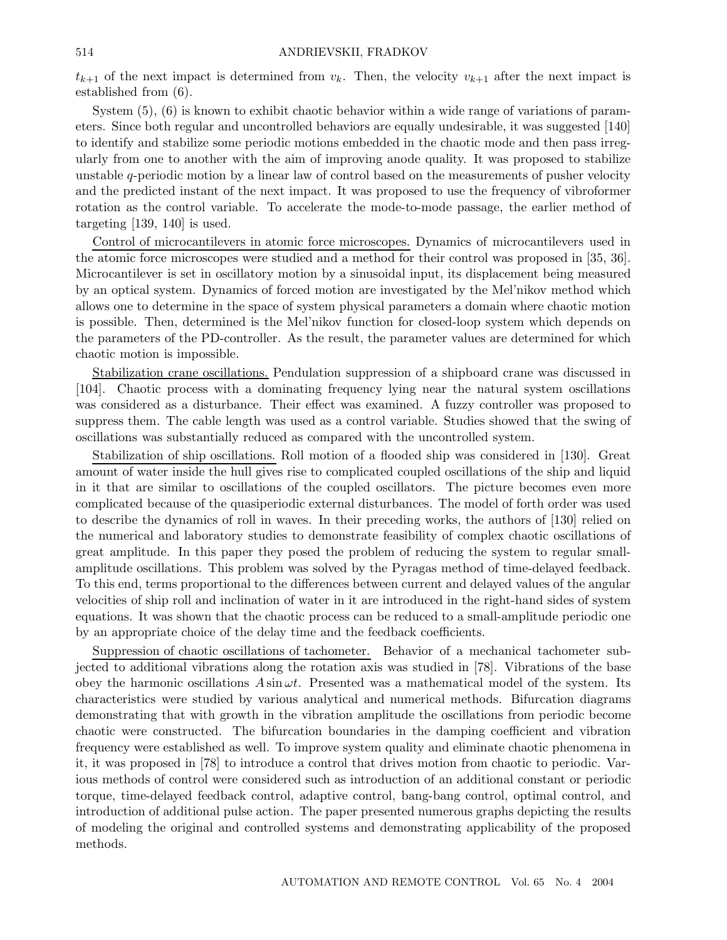$t_{k+1}$  of the next impact is determined from  $v_k$ . Then, the velocity  $v_{k+1}$  after the next impact is established from (6).

System (5), (6) is known to exhibit chaotic behavior within a wide range of variations of parameters. Since both regular and uncontrolled behaviors are equally undesirable, it was suggested [140] to identify and stabilize some periodic motions embedded in the chaotic mode and then pass irregularly from one to another with the aim of improving anode quality. It was proposed to stabilize unstable q-periodic motion by a linear law of control based on the measurements of pusher velocity and the predicted instant of the next impact. It was proposed to use the frequency of vibroformer rotation as the control variable. To accelerate the mode-to-mode passage, the earlier method of targeting [139, 140] is used.

Control of microcantilevers in atomic force microscopes. Dynamics of microcantilevers used in the atomic force microscopes were studied and a method for their control was proposed in [35, 36]. Microcantilever is set in oscillatory motion by a sinusoidal input, its displacement being measured by an optical system. Dynamics of forced motion are investigated by the Mel'nikov method which allows one to determine in the space of system physical parameters a domain where chaotic motion is possible. Then, determined is the Mel'nikov function for closed-loop system which depends on the parameters of the PD-controller. As the result, the parameter values are determined for which chaotic motion is impossible.

Stabilization crane oscillations. Pendulation suppression of a shipboard crane was discussed in [104]. Chaotic process with a dominating frequency lying near the natural system oscillations was considered as a disturbance. Their effect was examined. A fuzzy controller was proposed to suppress them. The cable length was used as a control variable. Studies showed that the swing of oscillations was substantially reduced as compared with the uncontrolled system.

Stabilization of ship oscillations. Roll motion of a flooded ship was considered in [130]. Great amount of water inside the hull gives rise to complicated coupled oscillations of the ship and liquid in it that are similar to oscillations of the coupled oscillators. The picture becomes even more complicated because of the quasiperiodic external disturbances. The model of forth order was used to describe the dynamics of roll in waves. In their preceding works, the authors of [130] relied on the numerical and laboratory studies to demonstrate feasibility of complex chaotic oscillations of great amplitude. In this paper they posed the problem of reducing the system to regular smallamplitude oscillations. This problem was solved by the Pyragas method of time-delayed feedback. To this end, terms proportional to the differences between current and delayed values of the angular velocities of ship roll and inclination of water in it are introduced in the right-hand sides of system equations. It was shown that the chaotic process can be reduced to a small-amplitude periodic one by an appropriate choice of the delay time and the feedback coefficients.

Suppression of chaotic oscillations of tachometer. Behavior of a mechanical tachometer subjected to additional vibrations along the rotation axis was studied in [78]. Vibrations of the base obey the harmonic oscillations  $A \sin \omega t$ . Presented was a mathematical model of the system. Its characteristics were studied by various analytical and numerical methods. Bifurcation diagrams demonstrating that with growth in the vibration amplitude the oscillations from periodic become chaotic were constructed. The bifurcation boundaries in the damping coefficient and vibration frequency were established as well. To improve system quality and eliminate chaotic phenomena in it, it was proposed in [78] to introduce a control that drives motion from chaotic to periodic. Various methods of control were considered such as introduction of an additional constant or periodic torque, time-delayed feedback control, adaptive control, bang-bang control, optimal control, and introduction of additional pulse action. The paper presented numerous graphs depicting the results of modeling the original and controlled systems and demonstrating applicability of the proposed methods.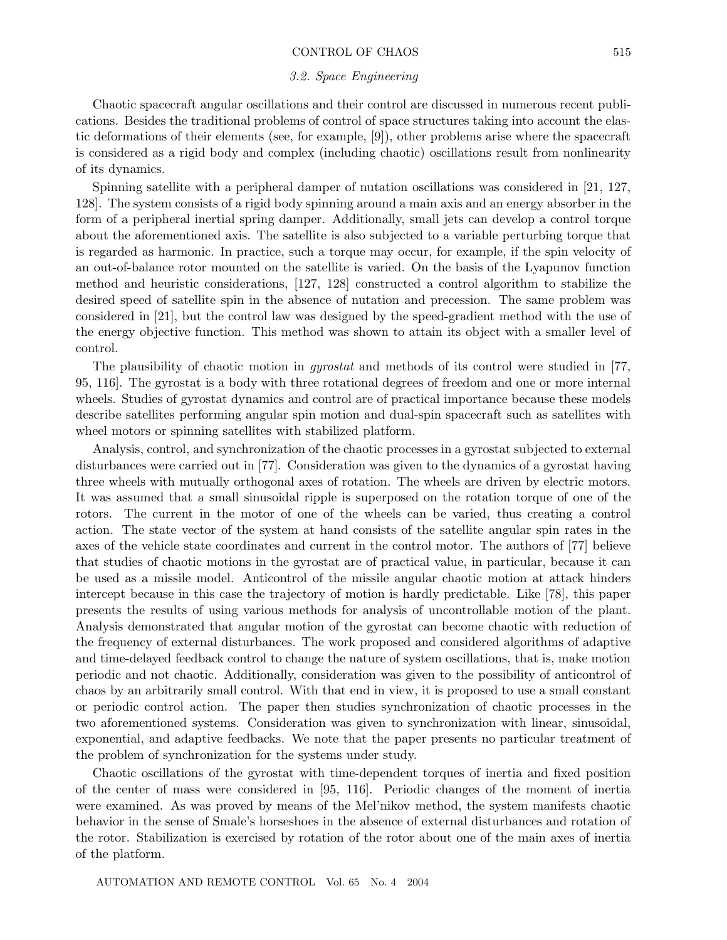#### 3.2. Space Engineering

Chaotic spacecraft angular oscillations and their control are discussed in numerous recent publications. Besides the traditional problems of control of space structures taking into account the elastic deformations of their elements (see, for example, [9]), other problems arise where the spacecraft is considered as a rigid body and complex (including chaotic) oscillations result from nonlinearity of its dynamics.

Spinning satellite with a peripheral damper of nutation oscillations was considered in [21, 127, 128]. The system consists of a rigid body spinning around a main axis and an energy absorber in the form of a peripheral inertial spring damper. Additionally, small jets can develop a control torque about the aforementioned axis. The satellite is also subjected to a variable perturbing torque that is regarded as harmonic. In practice, such a torque may occur, for example, if the spin velocity of an out-of-balance rotor mounted on the satellite is varied. On the basis of the Lyapunov function method and heuristic considerations, [127, 128] constructed a control algorithm to stabilize the desired speed of satellite spin in the absence of nutation and precession. The same problem was considered in [21], but the control law was designed by the speed-gradient method with the use of the energy objective function. This method was shown to attain its object with a smaller level of control.

The plausibility of chaotic motion in *gyrostat* and methods of its control were studied in [77, 95, 116]. The gyrostat is a body with three rotational degrees of freedom and one or more internal wheels. Studies of gyrostat dynamics and control are of practical importance because these models describe satellites performing angular spin motion and dual-spin spacecraft such as satellites with wheel motors or spinning satellites with stabilized platform.

Analysis, control, and synchronization of the chaotic processes in a gyrostat subjected to external disturbances were carried out in [77]. Consideration was given to the dynamics of a gyrostat having three wheels with mutually orthogonal axes of rotation. The wheels are driven by electric motors. It was assumed that a small sinusoidal ripple is superposed on the rotation torque of one of the rotors. The current in the motor of one of the wheels can be varied, thus creating a control action. The state vector of the system at hand consists of the satellite angular spin rates in the axes of the vehicle state coordinates and current in the control motor. The authors of [77] believe that studies of chaotic motions in the gyrostat are of practical value, in particular, because it can be used as a missile model. Anticontrol of the missile angular chaotic motion at attack hinders intercept because in this case the trajectory of motion is hardly predictable. Like [78], this paper presents the results of using various methods for analysis of uncontrollable motion of the plant. Analysis demonstrated that angular motion of the gyrostat can become chaotic with reduction of the frequency of external disturbances. The work proposed and considered algorithms of adaptive and time-delayed feedback control to change the nature of system oscillations, that is, make motion periodic and not chaotic. Additionally, consideration was given to the possibility of anticontrol of chaos by an arbitrarily small control. With that end in view, it is proposed to use a small constant or periodic control action. The paper then studies synchronization of chaotic processes in the two aforementioned systems. Consideration was given to synchronization with linear, sinusoidal, exponential, and adaptive feedbacks. We note that the paper presents no particular treatment of the problem of synchronization for the systems under study.

Chaotic oscillations of the gyrostat with time-dependent torques of inertia and fixed position of the center of mass were considered in [95, 116]. Periodic changes of the moment of inertia were examined. As was proved by means of the Mel'nikov method, the system manifests chaotic behavior in the sense of Smale's horseshoes in the absence of external disturbances and rotation of the rotor. Stabilization is exercised by rotation of the rotor about one of the main axes of inertia of the platform.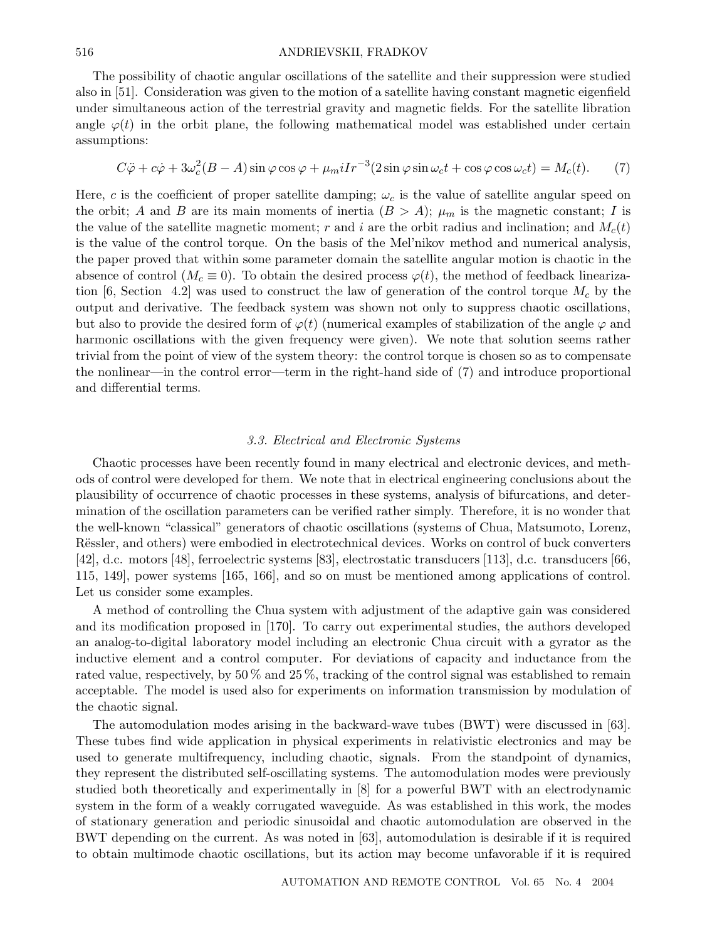The possibility of chaotic angular oscillations of the satellite and their suppression were studied also in [51]. Consideration was given to the motion of a satellite having constant magnetic eigenfield under simultaneous action of the terrestrial gravity and magnetic fields. For the satellite libration angle  $\varphi(t)$  in the orbit plane, the following mathematical model was established under certain assumptions:

$$
C\ddot{\varphi} + c\dot{\varphi} + 3\omega_c^2(B - A)\sin\varphi\cos\varphi + \mu_m iIr^{-3}(2\sin\varphi\sin\omega_c t + \cos\varphi\cos\omega_c t) = M_c(t). \tag{7}
$$

Here, c is the coefficient of proper satellite damping;  $\omega_c$  is the value of satellite angular speed on the orbit; A and B are its main moments of inertia  $(B > A)$ ;  $\mu_m$  is the magnetic constant; I is the value of the satellite magnetic moment; r and i are the orbit radius and inclination; and  $M_c(t)$ is the value of the control torque. On the basis of the Mel'nikov method and numerical analysis, the paper proved that within some parameter domain the satellite angular motion is chaotic in the absence of control ( $M_c \equiv 0$ ). To obtain the desired process  $\varphi(t)$ , the method of feedback linearization [6, Section 4.2] was used to construct the law of generation of the control torque  $M_c$  by the output and derivative. The feedback system was shown not only to suppress chaotic oscillations, but also to provide the desired form of  $\varphi(t)$  (numerical examples of stabilization of the angle  $\varphi$  and harmonic oscillations with the given frequency were given). We note that solution seems rather trivial from the point of view of the system theory: the control torque is chosen so as to compensate the nonlinear—in the control error—term in the right-hand side of (7) and introduce proportional and differential terms.

#### 3.3. Electrical and Electronic Systems

Chaotic processes have been recently found in many electrical and electronic devices, and methods of control were developed for them. We note that in electrical engineering conclusions about the plausibility of occurrence of chaotic processes in these systems, analysis of bifurcations, and determination of the oscillation parameters can be verified rather simply. Therefore, it is no wonder that the well-known "classical" generators of chaotic oscillations (systems of Chua, Matsumoto, Lorenz, Rëssler, and others) were embodied in electrotechnical devices. Works on control of buck converters [42], d.c. motors [48], ferroelectric systems [83], electrostatic transducers [113], d.c. transducers [66, 115, 149], power systems [165, 166], and so on must be mentioned among applications of control. Let us consider some examples.

A method of controlling the Chua system with adjustment of the adaptive gain was considered and its modification proposed in [170]. To carry out experimental studies, the authors developed an analog-to-digital laboratory model including an electronic Chua circuit with a gyrator as the inductive element and a control computer. For deviations of capacity and inductance from the rated value, respectively, by 50 % and 25 %, tracking of the control signal was established to remain acceptable. The model is used also for experiments on information transmission by modulation of the chaotic signal.

The automodulation modes arising in the backward-wave tubes (BWT) were discussed in [63]. These tubes find wide application in physical experiments in relativistic electronics and may be used to generate multifrequency, including chaotic, signals. From the standpoint of dynamics, they represent the distributed self-oscillating systems. The automodulation modes were previously studied both theoretically and experimentally in [8] for a powerful BWT with an electrodynamic system in the form of a weakly corrugated waveguide. As was established in this work, the modes of stationary generation and periodic sinusoidal and chaotic automodulation are observed in the BWT depending on the current. As was noted in [63], automodulation is desirable if it is required to obtain multimode chaotic oscillations, but its action may become unfavorable if it is required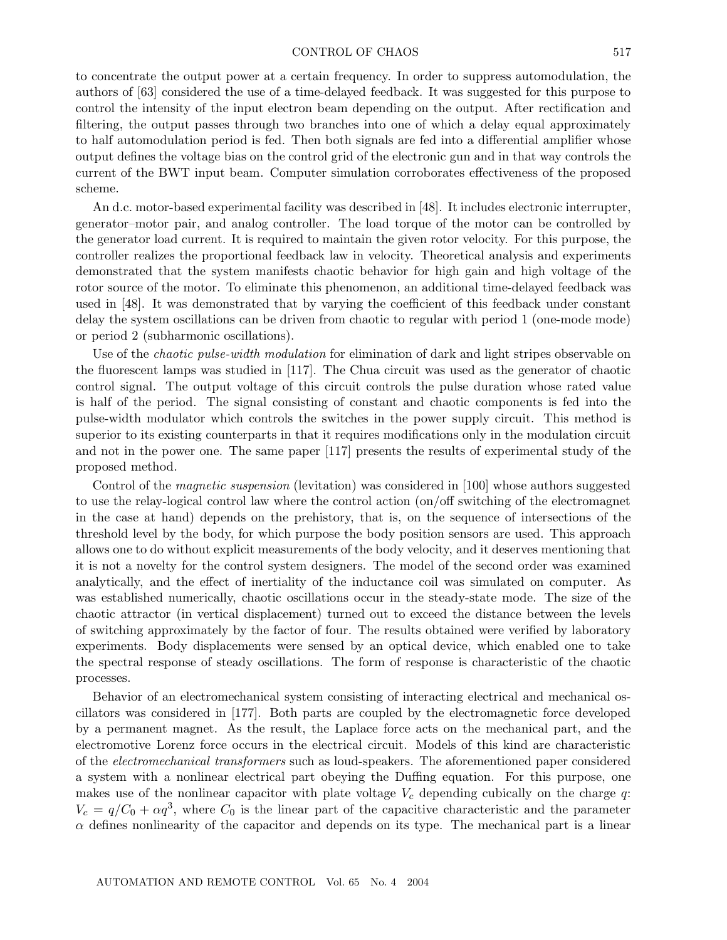to concentrate the output power at a certain frequency. In order to suppress automodulation, the authors of [63] considered the use of a time-delayed feedback. It was suggested for this purpose to control the intensity of the input electron beam depending on the output. After rectification and filtering, the output passes through two branches into one of which a delay equal approximately to half automodulation period is fed. Then both signals are fed into a differential amplifier whose output defines the voltage bias on the control grid of the electronic gun and in that way controls the current of the BWT input beam. Computer simulation corroborates effectiveness of the proposed scheme.

An d.c. motor-based experimental facility was described in [48]. It includes electronic interrupter, generator–motor pair, and analog controller. The load torque of the motor can be controlled by the generator load current. It is required to maintain the given rotor velocity. For this purpose, the controller realizes the proportional feedback law in velocity. Theoretical analysis and experiments demonstrated that the system manifests chaotic behavior for high gain and high voltage of the rotor source of the motor. To eliminate this phenomenon, an additional time-delayed feedback was used in [48]. It was demonstrated that by varying the coefficient of this feedback under constant delay the system oscillations can be driven from chaotic to regular with period 1 (one-mode mode) or period 2 (subharmonic oscillations).

Use of the *chaotic pulse-width modulation* for elimination of dark and light stripes observable on the fluorescent lamps was studied in [117]. The Chua circuit was used as the generator of chaotic control signal. The output voltage of this circuit controls the pulse duration whose rated value is half of the period. The signal consisting of constant and chaotic components is fed into the pulse-width modulator which controls the switches in the power supply circuit. This method is superior to its existing counterparts in that it requires modifications only in the modulation circuit and not in the power one. The same paper [117] presents the results of experimental study of the proposed method.

Control of the magnetic suspension (levitation) was considered in [100] whose authors suggested to use the relay-logical control law where the control action (on/off switching of the electromagnet in the case at hand) depends on the prehistory, that is, on the sequence of intersections of the threshold level by the body, for which purpose the body position sensors are used. This approach allows one to do without explicit measurements of the body velocity, and it deserves mentioning that it is not a novelty for the control system designers. The model of the second order was examined analytically, and the effect of inertiality of the inductance coil was simulated on computer. As was established numerically, chaotic oscillations occur in the steady-state mode. The size of the chaotic attractor (in vertical displacement) turned out to exceed the distance between the levels of switching approximately by the factor of four. The results obtained were verified by laboratory experiments. Body displacements were sensed by an optical device, which enabled one to take the spectral response of steady oscillations. The form of response is characteristic of the chaotic processes.

Behavior of an electromechanical system consisting of interacting electrical and mechanical oscillators was considered in [177]. Both parts are coupled by the electromagnetic force developed by a permanent magnet. As the result, the Laplace force acts on the mechanical part, and the electromotive Lorenz force occurs in the electrical circuit. Models of this kind are characteristic of the electromechanical transformers such as loud-speakers. The aforementioned paper considered a system with a nonlinear electrical part obeying the Duffing equation. For this purpose, one makes use of the nonlinear capacitor with plate voltage  $V_c$  depending cubically on the charge q:  $V_c = q/C_0 + \alpha q^3$ , where  $C_0$  is the linear part of the capacitive characteristic and the parameter  $\alpha$  defines nonlinearity of the capacitor and depends on its type. The mechanical part is a linear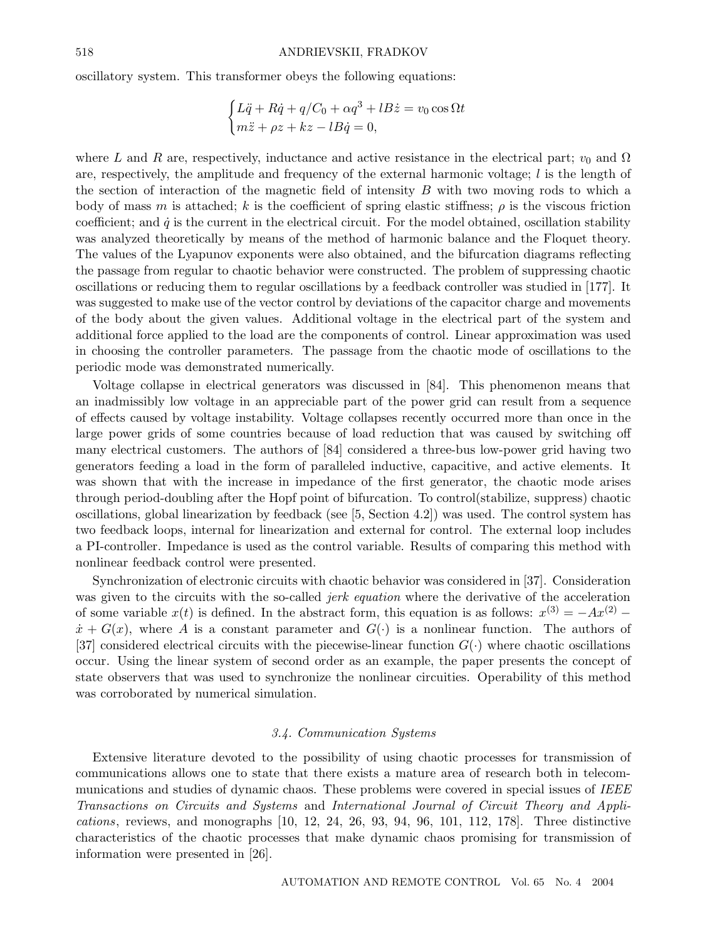oscillatory system. This transformer obeys the following equations:

$$
\begin{cases}\nL\ddot{q} + R\dot{q} + q/C_0 + \alpha q^3 + lB\dot{z} = v_0 \cos \Omega t \\
m\ddot{z} + \rho z + kz - lB\dot{q} = 0,\n\end{cases}
$$

where L and R are, respectively, inductance and active resistance in the electrical part;  $v_0$  and  $\Omega$ are, respectively, the amplitude and frequency of the external harmonic voltage;  $l$  is the length of the section of interaction of the magnetic field of intensity B with two moving rods to which a body of mass m is attached; k is the coefficient of spring elastic stiffness;  $\rho$  is the viscous friction coefficient; and  $\dot{q}$  is the current in the electrical circuit. For the model obtained, oscillation stability was analyzed theoretically by means of the method of harmonic balance and the Floquet theory. The values of the Lyapunov exponents were also obtained, and the bifurcation diagrams reflecting the passage from regular to chaotic behavior were constructed. The problem of suppressing chaotic oscillations or reducing them to regular oscillations by a feedback controller was studied in [177]. It was suggested to make use of the vector control by deviations of the capacitor charge and movements of the body about the given values. Additional voltage in the electrical part of the system and additional force applied to the load are the components of control. Linear approximation was used in choosing the controller parameters. The passage from the chaotic mode of oscillations to the periodic mode was demonstrated numerically.

Voltage collapse in electrical generators was discussed in [84]. This phenomenon means that an inadmissibly low voltage in an appreciable part of the power grid can result from a sequence of effects caused by voltage instability. Voltage collapses recently occurred more than once in the large power grids of some countries because of load reduction that was caused by switching off many electrical customers. The authors of [84] considered a three-bus low-power grid having two generators feeding a load in the form of paralleled inductive, capacitive, and active elements. It was shown that with the increase in impedance of the first generator, the chaotic mode arises through period-doubling after the Hopf point of bifurcation. To control(stabilize, suppress) chaotic oscillations, global linearization by feedback (see [5, Section 4.2]) was used. The control system has two feedback loops, internal for linearization and external for control. The external loop includes a PI-controller. Impedance is used as the control variable. Results of comparing this method with nonlinear feedback control were presented.

Synchronization of electronic circuits with chaotic behavior was considered in [37]. Consideration was given to the circuits with the so-called *jerk equation* where the derivative of the acceleration of some variable  $x(t)$  is defined. In the abstract form, this equation is as follows:  $x^{(3)} = -Ax^{(2)} \dot{x} + G(x)$ , where A is a constant parameter and  $G(\cdot)$  is a nonlinear function. The authors of [37] considered electrical circuits with the piecewise-linear function  $G(\cdot)$  where chaotic oscillations occur. Using the linear system of second order as an example, the paper presents the concept of state observers that was used to synchronize the nonlinear circuities. Operability of this method was corroborated by numerical simulation.

# 3.4. Communication Systems

Extensive literature devoted to the possibility of using chaotic processes for transmission of communications allows one to state that there exists a mature area of research both in telecommunications and studies of dynamic chaos. These problems were covered in special issues of IEEE Transactions on Circuits and Systems and International Journal of Circuit Theory and Applications, reviews, and monographs [10, 12, 24, 26, 93, 94, 96, 101, 112, 178]. Three distinctive characteristics of the chaotic processes that make dynamic chaos promising for transmission of information were presented in [26].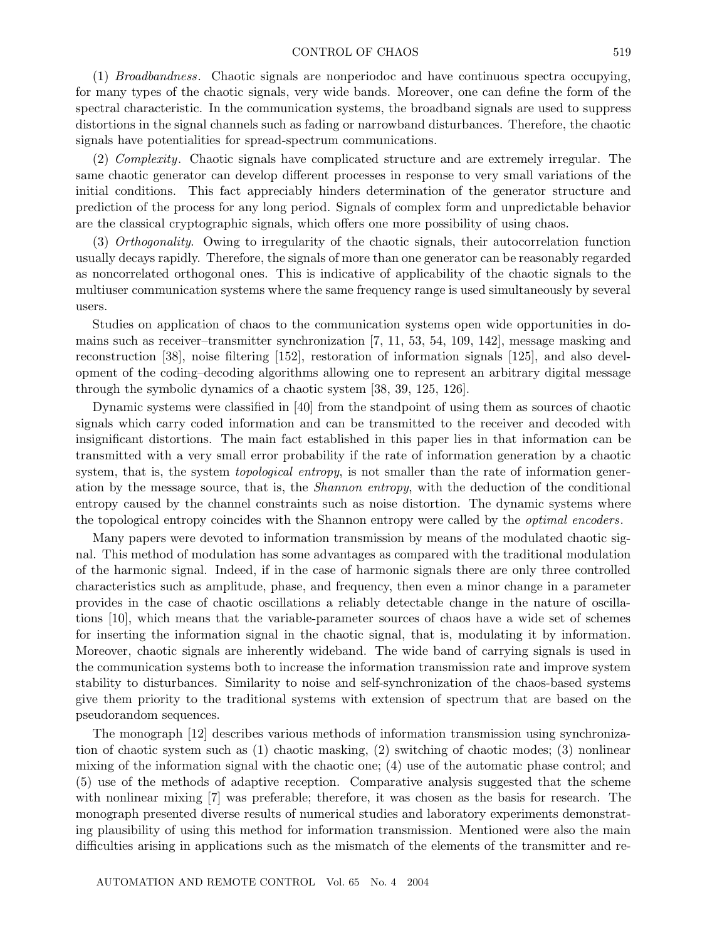(1) Broadbandness. Chaotic signals are nonperiodoc and have continuous spectra occupying, for many types of the chaotic signals, very wide bands. Moreover, one can define the form of the spectral characteristic. In the communication systems, the broadband signals are used to suppress distortions in the signal channels such as fading or narrowband disturbances. Therefore, the chaotic signals have potentialities for spread-spectrum communications.

(2) Complexity. Chaotic signals have complicated structure and are extremely irregular. The same chaotic generator can develop different processes in response to very small variations of the initial conditions. This fact appreciably hinders determination of the generator structure and prediction of the process for any long period. Signals of complex form and unpredictable behavior are the classical cryptographic signals, which offers one more possibility of using chaos.

(3) Orthogonality. Owing to irregularity of the chaotic signals, their autocorrelation function usually decays rapidly. Therefore, the signals of more than one generator can be reasonably regarded as noncorrelated orthogonal ones. This is indicative of applicability of the chaotic signals to the multiuser communication systems where the same frequency range is used simultaneously by several users.

Studies on application of chaos to the communication systems open wide opportunities in domains such as receiver–transmitter synchronization [7, 11, 53, 54, 109, 142], message masking and reconstruction [38], noise filtering [152], restoration of information signals [125], and also development of the coding–decoding algorithms allowing one to represent an arbitrary digital message through the symbolic dynamics of a chaotic system [38, 39, 125, 126].

Dynamic systems were classified in [40] from the standpoint of using them as sources of chaotic signals which carry coded information and can be transmitted to the receiver and decoded with insignificant distortions. The main fact established in this paper lies in that information can be transmitted with a very small error probability if the rate of information generation by a chaotic system, that is, the system *topological entropy*, is not smaller than the rate of information generation by the message source, that is, the Shannon entropy, with the deduction of the conditional entropy caused by the channel constraints such as noise distortion. The dynamic systems where the topological entropy coincides with the Shannon entropy were called by the *optimal encoders*.

Many papers were devoted to information transmission by means of the modulated chaotic signal. This method of modulation has some advantages as compared with the traditional modulation of the harmonic signal. Indeed, if in the case of harmonic signals there are only three controlled characteristics such as amplitude, phase, and frequency, then even a minor change in a parameter provides in the case of chaotic oscillations a reliably detectable change in the nature of oscillations [10], which means that the variable-parameter sources of chaos have a wide set of schemes for inserting the information signal in the chaotic signal, that is, modulating it by information. Moreover, chaotic signals are inherently wideband. The wide band of carrying signals is used in the communication systems both to increase the information transmission rate and improve system stability to disturbances. Similarity to noise and self-synchronization of the chaos-based systems give them priority to the traditional systems with extension of spectrum that are based on the pseudorandom sequences.

The monograph [12] describes various methods of information transmission using synchronization of chaotic system such as (1) chaotic masking, (2) switching of chaotic modes; (3) nonlinear mixing of the information signal with the chaotic one; (4) use of the automatic phase control; and (5) use of the methods of adaptive reception. Comparative analysis suggested that the scheme with nonlinear mixing [7] was preferable; therefore, it was chosen as the basis for research. The monograph presented diverse results of numerical studies and laboratory experiments demonstrating plausibility of using this method for information transmission. Mentioned were also the main difficulties arising in applications such as the mismatch of the elements of the transmitter and re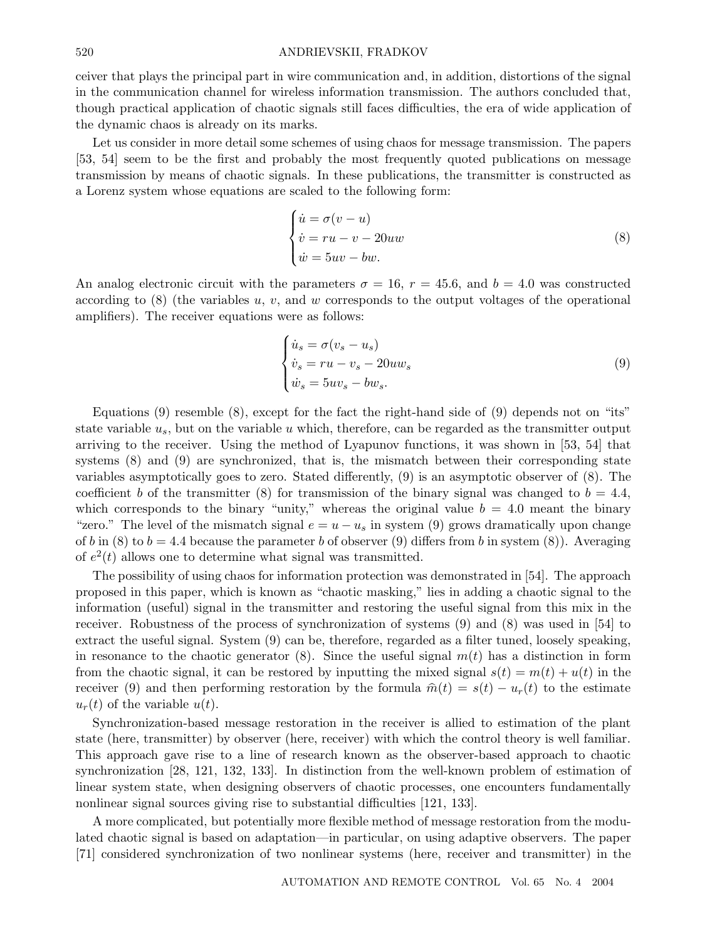ceiver that plays the principal part in wire communication and, in addition, distortions of the signal in the communication channel for wireless information transmission. The authors concluded that, though practical application of chaotic signals still faces difficulties, the era of wide application of the dynamic chaos is already on its marks.

Let us consider in more detail some schemes of using chaos for message transmission. The papers [53, 54] seem to be the first and probably the most frequently quoted publications on message transmission by means of chaotic signals. In these publications, the transmitter is constructed as a Lorenz system whose equations are scaled to the following form:

$$
\begin{cases}\n\dot{u} = \sigma(v - u) \\
\dot{v} = ru - v - 20uw \\
\dot{w} = 5uv - bw.\n\end{cases}
$$
\n(8)

An analog electronic circuit with the parameters  $\sigma = 16$ ,  $r = 45.6$ , and  $b = 4.0$  was constructed according to  $(8)$  (the variables u, v, and w corresponds to the output voltages of the operational amplifiers). The receiver equations were as follows:

$$
\begin{cases} \dot{u}_s = \sigma(v_s - u_s) \\ \dot{v}_s = ru - v_s - 20uw_s \\ \dot{w}_s = 5uv_s - bw_s. \end{cases} \tag{9}
$$

Equations (9) resemble (8), except for the fact the right-hand side of (9) depends not on "its" state variable  $u_s$ , but on the variable u which, therefore, can be regarded as the transmitter output arriving to the receiver. Using the method of Lyapunov functions, it was shown in [53, 54] that systems  $(8)$  and  $(9)$  are synchronized, that is, the mismatch between their corresponding state variables asymptotically goes to zero. Stated differently, (9) is an asymptotic observer of (8). The coefficient b of the transmitter (8) for transmission of the binary signal was changed to  $b = 4.4$ , which corresponds to the binary "unity," whereas the original value  $b = 4.0$  meant the binary "zero." The level of the mismatch signal  $e = u - u_s$  in system (9) grows dramatically upon change of b in (8) to  $b = 4.4$  because the parameter b of observer (9) differs from b in system (8)). Averaging of  $e^2(t)$  allows one to determine what signal was transmitted.

The possibility of using chaos for information protection was demonstrated in [54]. The approach proposed in this paper, which is known as "chaotic masking," lies in adding a chaotic signal to the information (useful) signal in the transmitter and restoring the useful signal from this mix in the receiver. Robustness of the process of synchronization of systems (9) and (8) was used in [54] to extract the useful signal. System (9) can be, therefore, regarded as a filter tuned, loosely speaking, in resonance to the chaotic generator  $(8)$ . Since the useful signal  $m(t)$  has a distinction in form from the chaotic signal, it can be restored by inputting the mixed signal  $s(t) = m(t) + u(t)$  in the receiver (9) and then performing restoration by the formula  $\hat{m}(t) = s(t) - u_r(t)$  to the estimate  $u_r(t)$  of the variable  $u(t)$ .

Synchronization-based message restoration in the receiver is allied to estimation of the plant state (here, transmitter) by observer (here, receiver) with which the control theory is well familiar. This approach gave rise to a line of research known as the observer-based approach to chaotic synchronization [28, 121, 132, 133]. In distinction from the well-known problem of estimation of linear system state, when designing observers of chaotic processes, one encounters fundamentally nonlinear signal sources giving rise to substantial difficulties [121, 133].

A more complicated, but potentially more flexible method of message restoration from the modulated chaotic signal is based on adaptation—in particular, on using adaptive observers. The paper [71] considered synchronization of two nonlinear systems (here, receiver and transmitter) in the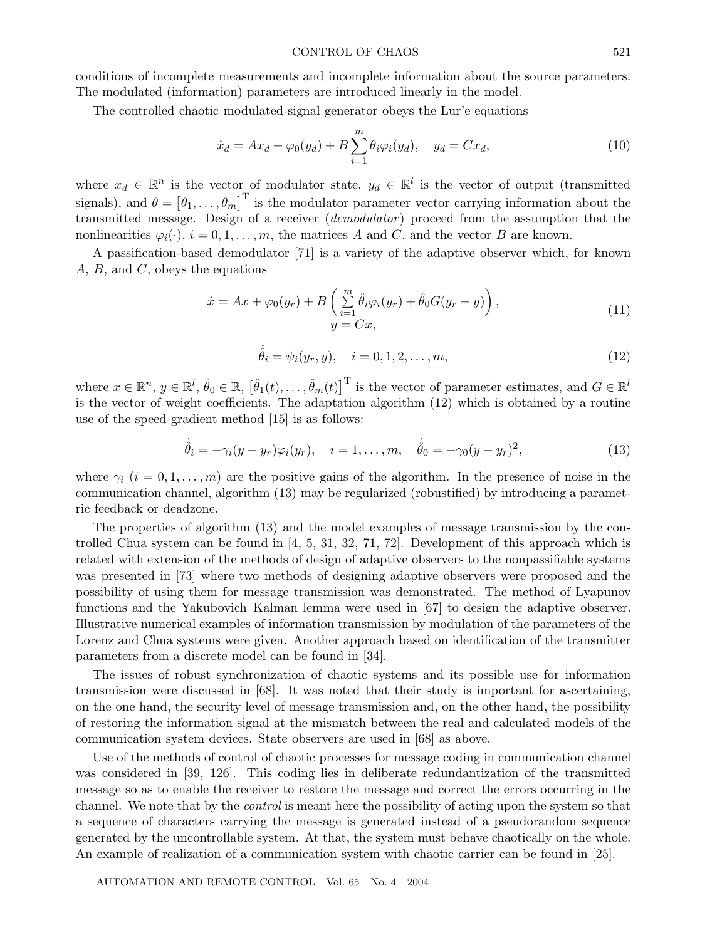conditions of incomplete measurements and incomplete information about the source parameters. The modulated (information) parameters are introduced linearly in the model.

The controlled chaotic modulated-signal generator obeys the Lur'e equations

$$
\dot{x}_d = Ax_d + \varphi_0(y_d) + B \sum_{i=1}^m \theta_i \varphi_i(y_d), \quad y_d = Cx_d,
$$
\n(10)

where  $x_d \in \mathbb{R}^n$  is the vector of modulator state,  $y_d \in \mathbb{R}^l$  is the vector of output (transmitted signals), and  $\theta = [\theta_1, \ldots, \theta_m]^T$  is the modulator parameter vector carrying information about the transmitted message. Design of a receiver (*demodulator*) proceed from the assumption that the nonlinearities  $\varphi_i(\cdot), i = 0, 1, \ldots, m$ , the matrices A and C, and the vector B are known.

A passification-based demodulator [71] is a variety of the adaptive observer which, for known A, B, and C, obeys the equations

$$
\dot{x} = Ax + \varphi_0(y_r) + B\left(\sum_{i=1}^m \hat{\theta}_i \varphi_i(y_r) + \hat{\theta}_0 G(y_r - y)\right),
$$
  
\n
$$
y = Cx,
$$
\n(11)

$$
\dot{\hat{\theta}}_i = \psi_i(y_r, y), \quad i = 0, 1, 2, \dots, m,
$$
\n(12)

where  $x \in \mathbb{R}^n$ ,  $y \in \mathbb{R}^l$ ,  $\hat{\theta}_0 \in \mathbb{R}$ ,  $[\hat{\theta}_1(t), \dots, \hat{\theta}_m(t)]$ <sup>T</sup> is the vector of parameter estimates, and  $G \in \mathbb{R}^l$ is the vector of weight coefficients. The adaptation algorithm (12) which is obtained by a routine use of the speed-gradient method [15] is as follows:

$$
\dot{\hat{\theta}}_i = -\gamma_i (y - y_r) \varphi_i(y_r), \quad i = 1, \dots, m, \quad \dot{\hat{\theta}}_0 = -\gamma_0 (y - y_r)^2,
$$
\n(13)

where  $\gamma_i$   $(i = 0, 1, \ldots, m)$  are the positive gains of the algorithm. In the presence of noise in the communication channel, algorithm (13) may be regularized (robustified) by introducing a parametric feedback or deadzone.

The properties of algorithm (13) and the model examples of message transmission by the controlled Chua system can be found in [4, 5, 31, 32, 71, 72]. Development of this approach which is related with extension of the methods of design of adaptive observers to the nonpassifiable systems was presented in [73] where two methods of designing adaptive observers were proposed and the possibility of using them for message transmission was demonstrated. The method of Lyapunov functions and the Yakubovich–Kalman lemma were used in [67] to design the adaptive observer. Illustrative numerical examples of information transmission by modulation of the parameters of the Lorenz and Chua systems were given. Another approach based on identification of the transmitter parameters from a discrete model can be found in [34].

The issues of robust synchronization of chaotic systems and its possible use for information transmission were discussed in [68]. It was noted that their study is important for ascertaining, on the one hand, the security level of message transmission and, on the other hand, the possibility of restoring the information signal at the mismatch between the real and calculated models of the communication system devices. State observers are used in [68] as above.

Use of the methods of control of chaotic processes for message coding in communication channel was considered in [39, 126]. This coding lies in deliberate redundantization of the transmitted message so as to enable the receiver to restore the message and correct the errors occurring in the channel. We note that by the *control* is meant here the possibility of acting upon the system so that a sequence of characters carrying the message is generated instead of a pseudorandom sequence generated by the uncontrollable system. At that, the system must behave chaotically on the whole. An example of realization of a communication system with chaotic carrier can be found in [25].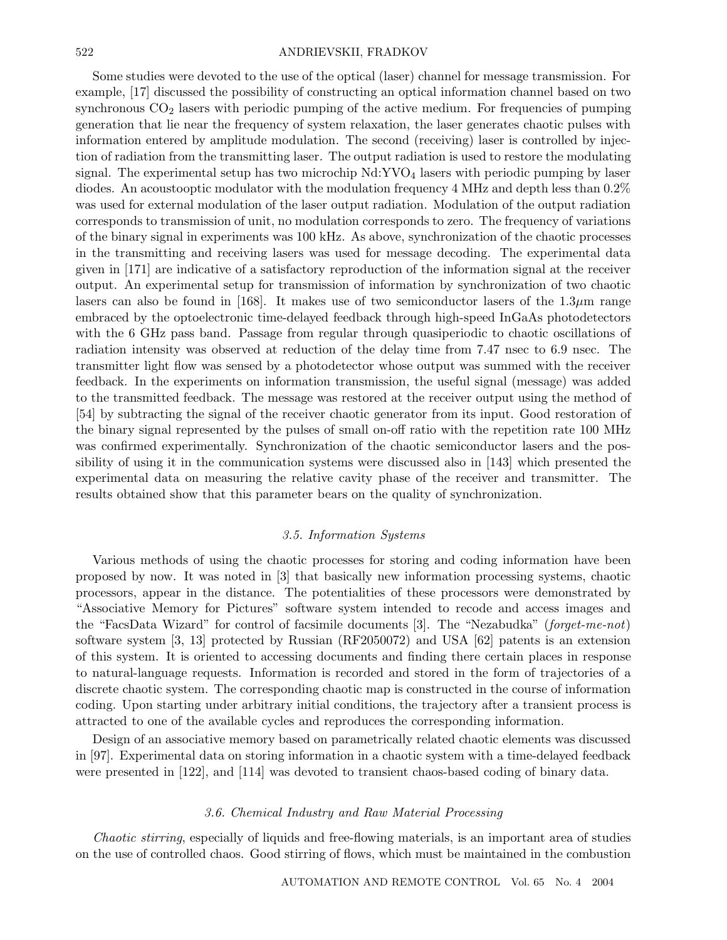Some studies were devoted to the use of the optical (laser) channel for message transmission. For example, [17] discussed the possibility of constructing an optical information channel based on two synchronous  $CO<sub>2</sub>$  lasers with periodic pumping of the active medium. For frequencies of pumping generation that lie near the frequency of system relaxation, the laser generates chaotic pulses with information entered by amplitude modulation. The second (receiving) laser is controlled by injection of radiation from the transmitting laser. The output radiation is used to restore the modulating signal. The experimental setup has two microchip  $Nd:YVO<sub>4</sub>$  lasers with periodic pumping by laser diodes. An acoustooptic modulator with the modulation frequency 4 MHz and depth less than 0.2% was used for external modulation of the laser output radiation. Modulation of the output radiation corresponds to transmission of unit, no modulation corresponds to zero. The frequency of variations of the binary signal in experiments was 100 kHz. As above, synchronization of the chaotic processes in the transmitting and receiving lasers was used for message decoding. The experimental data given in [171] are indicative of a satisfactory reproduction of the information signal at the receiver output. An experimental setup for transmission of information by synchronization of two chaotic lasers can also be found in [168]. It makes use of two semiconductor lasers of the  $1.3\mu$ m range embraced by the optoelectronic time-delayed feedback through high-speed InGaAs photodetectors with the 6 GHz pass band. Passage from regular through quasiperiodic to chaotic oscillations of radiation intensity was observed at reduction of the delay time from 7.47 nsec to 6.9 nsec. The transmitter light flow was sensed by a photodetector whose output was summed with the receiver feedback. In the experiments on information transmission, the useful signal (message) was added to the transmitted feedback. The message was restored at the receiver output using the method of [54] by subtracting the signal of the receiver chaotic generator from its input. Good restoration of the binary signal represented by the pulses of small on-off ratio with the repetition rate 100 MHz was confirmed experimentally. Synchronization of the chaotic semiconductor lasers and the possibility of using it in the communication systems were discussed also in [143] which presented the experimental data on measuring the relative cavity phase of the receiver and transmitter. The results obtained show that this parameter bears on the quality of synchronization.

# 3.5. Information Systems

Various methods of using the chaotic processes for storing and coding information have been proposed by now. It was noted in [3] that basically new information processing systems, chaotic processors, appear in the distance. The potentialities of these processors were demonstrated by "Associative Memory for Pictures" software system intended to recode and access images and the "FacsData Wizard" for control of facsimile documents [3]. The "Nezabudka" (forget-me-not) software system [3, 13] protected by Russian (RF2050072) and USA [62] patents is an extension of this system. It is oriented to accessing documents and finding there certain places in response to natural-language requests. Information is recorded and stored in the form of trajectories of a discrete chaotic system. The corresponding chaotic map is constructed in the course of information coding. Upon starting under arbitrary initial conditions, the trajectory after a transient process is attracted to one of the available cycles and reproduces the corresponding information.

Design of an associative memory based on parametrically related chaotic elements was discussed in [97]. Experimental data on storing information in a chaotic system with a time-delayed feedback were presented in [122], and [114] was devoted to transient chaos-based coding of binary data.

#### 3.6. Chemical Industry and Raw Material Processing

Chaotic stirring, especially of liquids and free-flowing materials, is an important area of studies on the use of controlled chaos. Good stirring of flows, which must be maintained in the combustion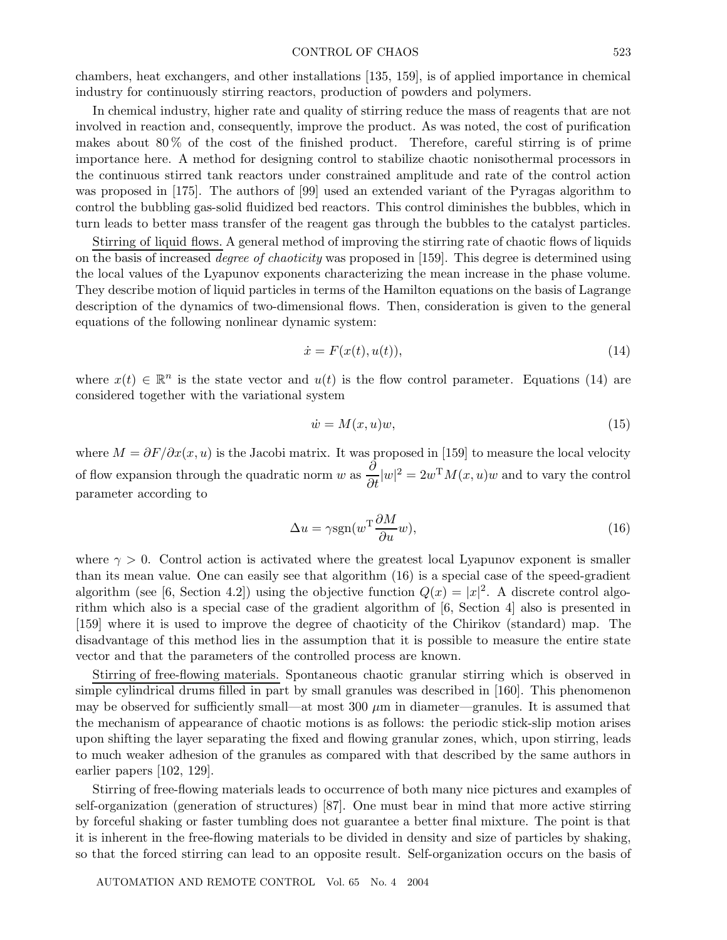chambers, heat exchangers, and other installations [135, 159], is of applied importance in chemical industry for continuously stirring reactors, production of powders and polymers.

In chemical industry, higher rate and quality of stirring reduce the mass of reagents that are not involved in reaction and, consequently, improve the product. As was noted, the cost of purification makes about  $80\%$  of the cost of the finished product. Therefore, careful stirring is of prime importance here. A method for designing control to stabilize chaotic nonisothermal processors in the continuous stirred tank reactors under constrained amplitude and rate of the control action was proposed in [175]. The authors of [99] used an extended variant of the Pyragas algorithm to control the bubbling gas-solid fluidized bed reactors. This control diminishes the bubbles, which in turn leads to better mass transfer of the reagent gas through the bubbles to the catalyst particles.

Stirring of liquid flows. A general method of improving the stirring rate of chaotic flows of liquids on the basis of increased degree of chaoticity was proposed in [159]. This degree is determined using the local values of the Lyapunov exponents characterizing the mean increase in the phase volume. They describe motion of liquid particles in terms of the Hamilton equations on the basis of Lagrange description of the dynamics of two-dimensional flows. Then, consideration is given to the general equations of the following nonlinear dynamic system:

$$
\dot{x} = F(x(t), u(t)),\tag{14}
$$

where  $x(t) \in \mathbb{R}^n$  is the state vector and  $u(t)$  is the flow control parameter. Equations (14) are considered together with the variational system

$$
\dot{w} = M(x, u)w,\tag{15}
$$

where  $M = \partial F / \partial x(x, u)$  is the Jacobi matrix. It was proposed in [159] to measure the local velocity of flow expansion through the quadratic norm w as  $\frac{\partial}{\partial t}|w|^2 = 2w^TM(x, u)w$  and to vary the control parameter according to

$$
\Delta u = \gamma \text{sgn}(w^{\text{T}} \frac{\partial M}{\partial u} w),\tag{16}
$$

where  $\gamma > 0$ . Control action is activated where the greatest local Lyapunov exponent is smaller than its mean value. One can easily see that algorithm (16) is a special case of the speed-gradient algorithm (see [6, Section 4.2]) using the objective function  $Q(x) = |x|^2$ . A discrete control algorithm which also is a special case of the gradient algorithm of [6, Section 4] also is presented in [159] where it is used to improve the degree of chaoticity of the Chirikov (standard) map. The disadvantage of this method lies in the assumption that it is possible to measure the entire state vector and that the parameters of the controlled process are known.

Stirring of free-flowing materials. Spontaneous chaotic granular stirring which is observed in simple cylindrical drums filled in part by small granules was described in [160]. This phenomenon may be observed for sufficiently small—at most  $300 \mu m$  in diameter—granules. It is assumed that the mechanism of appearance of chaotic motions is as follows: the periodic stick-slip motion arises upon shifting the layer separating the fixed and flowing granular zones, which, upon stirring, leads to much weaker adhesion of the granules as compared with that described by the same authors in earlier papers [102, 129].

Stirring of free-flowing materials leads to occurrence of both many nice pictures and examples of self-organization (generation of structures) [87]. One must bear in mind that more active stirring by forceful shaking or faster tumbling does not guarantee a better final mixture. The point is that it is inherent in the free-flowing materials to be divided in density and size of particles by shaking, so that the forced stirring can lead to an opposite result. Self-organization occurs on the basis of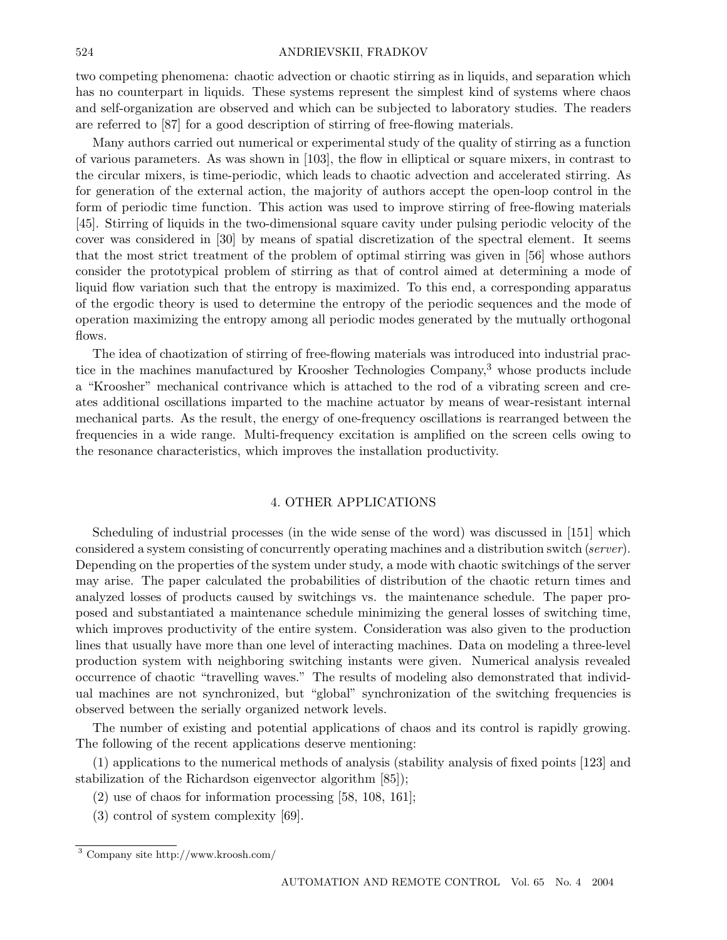two competing phenomena: chaotic advection or chaotic stirring as in liquids, and separation which has no counterpart in liquids. These systems represent the simplest kind of systems where chaos and self-organization are observed and which can be subjected to laboratory studies. The readers are referred to [87] for a good description of stirring of free-flowing materials.

Many authors carried out numerical or experimental study of the quality of stirring as a function of various parameters. As was shown in [103], the flow in elliptical or square mixers, in contrast to the circular mixers, is time-periodic, which leads to chaotic advection and accelerated stirring. As for generation of the external action, the majority of authors accept the open-loop control in the form of periodic time function. This action was used to improve stirring of free-flowing materials [45]. Stirring of liquids in the two-dimensional square cavity under pulsing periodic velocity of the cover was considered in [30] by means of spatial discretization of the spectral element. It seems that the most strict treatment of the problem of optimal stirring was given in [56] whose authors consider the prototypical problem of stirring as that of control aimed at determining a mode of liquid flow variation such that the entropy is maximized. To this end, a corresponding apparatus of the ergodic theory is used to determine the entropy of the periodic sequences and the mode of operation maximizing the entropy among all periodic modes generated by the mutually orthogonal flows.

The idea of chaotization of stirring of free-flowing materials was introduced into industrial practice in the machines manufactured by Kroosher Technologies Company,<sup>3</sup> whose products include a "Kroosher" mechanical contrivance which is attached to the rod of a vibrating screen and creates additional oscillations imparted to the machine actuator by means of wear-resistant internal mechanical parts. As the result, the energy of one-frequency oscillations is rearranged between the frequencies in a wide range. Multi-frequency excitation is amplified on the screen cells owing to the resonance characteristics, which improves the installation productivity.

# 4. OTHER APPLICATIONS

Scheduling of industrial processes (in the wide sense of the word) was discussed in [151] which considered a system consisting of concurrently operating machines and a distribution switch (server). Depending on the properties of the system under study, a mode with chaotic switchings of the server may arise. The paper calculated the probabilities of distribution of the chaotic return times and analyzed losses of products caused by switchings vs. the maintenance schedule. The paper proposed and substantiated a maintenance schedule minimizing the general losses of switching time, which improves productivity of the entire system. Consideration was also given to the production lines that usually have more than one level of interacting machines. Data on modeling a three-level production system with neighboring switching instants were given. Numerical analysis revealed occurrence of chaotic "travelling waves." The results of modeling also demonstrated that individual machines are not synchronized, but "global" synchronization of the switching frequencies is observed between the serially organized network levels.

The number of existing and potential applications of chaos and its control is rapidly growing. The following of the recent applications deserve mentioning:

(1) applications to the numerical methods of analysis (stability analysis of fixed points [123] and stabilization of the Richardson eigenvector algorithm [85]);

- (2) use of chaos for information processing [58, 108, 161];
- (3) control of system complexity [69].

<sup>3</sup> Company site http://www.kroosh.com/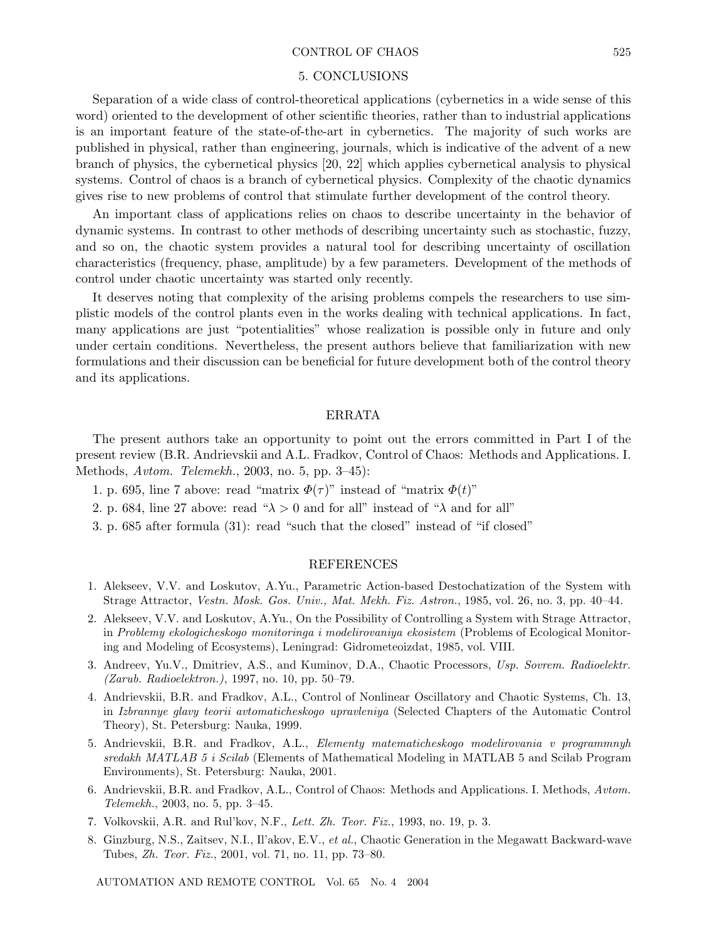### 5. CONCLUSIONS

Separation of a wide class of control-theoretical applications (cybernetics in a wide sense of this word) oriented to the development of other scientific theories, rather than to industrial applications is an important feature of the state-of-the-art in cybernetics. The majority of such works are published in physical, rather than engineering, journals, which is indicative of the advent of a new branch of physics, the cybernetical physics [20, 22] which applies cybernetical analysis to physical systems. Control of chaos is a branch of cybernetical physics. Complexity of the chaotic dynamics gives rise to new problems of control that stimulate further development of the control theory.

An important class of applications relies on chaos to describe uncertainty in the behavior of dynamic systems. In contrast to other methods of describing uncertainty such as stochastic, fuzzy, and so on, the chaotic system provides a natural tool for describing uncertainty of oscillation characteristics (frequency, phase, amplitude) by a few parameters. Development of the methods of control under chaotic uncertainty was started only recently.

It deserves noting that complexity of the arising problems compels the researchers to use simplistic models of the control plants even in the works dealing with technical applications. In fact, many applications are just "potentialities" whose realization is possible only in future and only under certain conditions. Nevertheless, the present authors believe that familiarization with new formulations and their discussion can be beneficial for future development both of the control theory and its applications.

#### ERRATA

The present authors take an opportunity to point out the errors committed in Part I of the present review (B.R. Andrievskii and A.L. Fradkov, Control of Chaos: Methods and Applications. I. Methods, Avtom. Telemekh., 2003, no. 5, pp. 3–45):

- 1. p. 695, line 7 above: read "matrix  $\Phi(\tau)$ " instead of "matrix  $\Phi(t)$ "
- 2. p. 684, line 27 above: read " $\lambda > 0$  and for all" instead of " $\lambda$  and for all"
- 3. p. 685 after formula (31): read "such that the closed" instead of "if closed"

#### REFERENCES

- 1. Alekseev, V.V. and Loskutov, A.Yu., Parametric Action-based Destochatization of the System with Strage Attractor, Vestn. Mosk. Gos. Univ., Mat. Mekh. Fiz. Astron., 1985, vol. 26, no. 3, pp. 40–44.
- 2. Alekseev, V.V. and Loskutov, A.Yu., On the Possibility of Controlling a System with Strage Attractor, in Problemy ekologicheskogo monitoringa i modelirovaniya ekosistem (Problems of Ecological Monitoring and Modeling of Ecosystems), Leningrad: Gidrometeoizdat, 1985, vol. VIII.
- 3. Andreev, Yu.V., Dmitriev, A.S., and Kuminov, D.A., Chaotic Processors, Usp. Sovrem. Radioelektr. (Zarub. Radioelektron.), 1997, no. 10, pp. 50–79.
- 4. Andrievskii, B.R. and Fradkov, A.L., Control of Nonlinear Oscillatory and Chaotic Systems, Ch. 13, in Izbrannye glavy teorii avtomaticheskogo upravleniya (Selected Chapters of the Automatic Control Theory), St. Petersburg: Nauka, 1999.
- 5. Andrievskii, B.R. and Fradkov, A.L., Elementy matematicheskogo modelirovania v programmnyh sredakh MATLAB 5 i Scilab (Elements of Mathematical Modeling in MATLAB 5 and Scilab Program Environments), St. Petersburg: Nauka, 2001.
- 6. Andrievskii, B.R. and Fradkov, A.L., Control of Chaos: Methods and Applications. I. Methods, Avtom. Telemekh., 2003, no. 5, pp. 3–45.
- 7. Volkovskii, A.R. and Rul'kov, N.F., Lett. Zh. Teor. Fiz., 1993, no. 19, p. 3.
- 8. Ginzburg, N.S., Zaitsev, N.I., Il'akov, E.V., et al., Chaotic Generation in the Megawatt Backward-wave Tubes, Zh. Teor. Fiz., 2001, vol. 71, no. 11, pp. 73–80.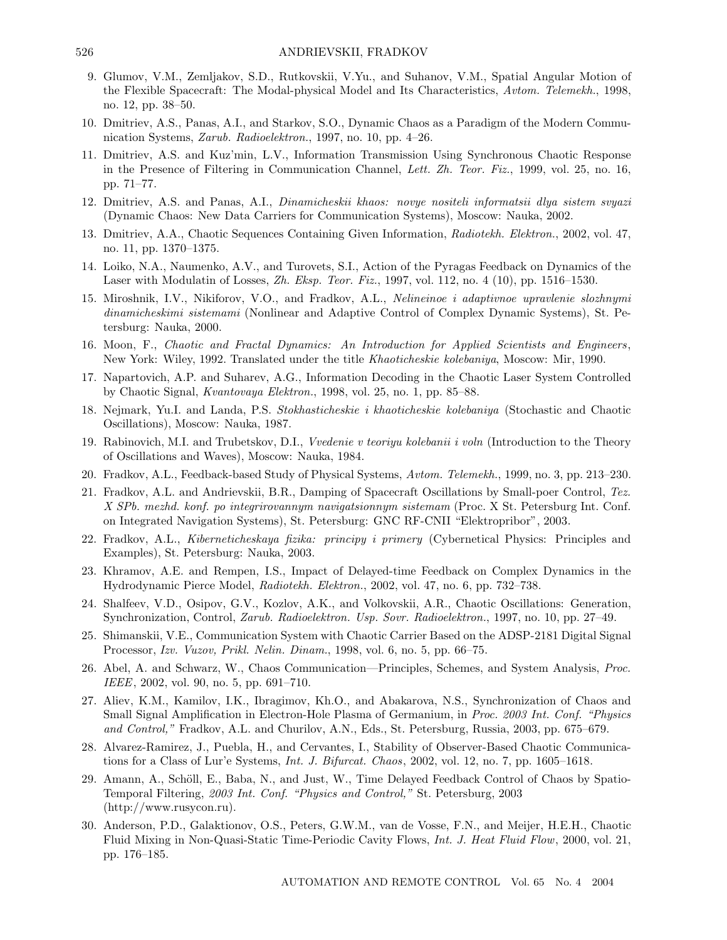- 9. Glumov, V.M., Zemljakov, S.D., Rutkovskii, V.Yu., and Suhanov, V.M., Spatial Angular Motion of the Flexible Spacecraft: The Modal-physical Model and Its Characteristics, Avtom. Telemekh., 1998, no. 12, pp. 38–50.
- 10. Dmitriev, A.S., Panas, A.I., and Starkov, S.O., Dynamic Chaos as a Paradigm of the Modern Communication Systems, Zarub. Radioelektron., 1997, no. 10, pp. 4–26.
- 11. Dmitriev, A.S. and Kuz'min, L.V., Information Transmission Using Synchronous Chaotic Response in the Presence of Filtering in Communication Channel, Lett. Zh. Teor. Fiz., 1999, vol. 25, no. 16, pp. 71–77.
- 12. Dmitriev, A.S. and Panas, A.I., Dinamicheskii khaos: novye nositeli informatsii dlya sistem svyazi (Dynamic Chaos: New Data Carriers for Communication Systems), Moscow: Nauka, 2002.
- 13. Dmitriev, A.A., Chaotic Sequences Containing Given Information, Radiotekh. Elektron., 2002, vol. 47, no. 11, pp. 1370–1375.
- 14. Loiko, N.A., Naumenko, A.V., and Turovets, S.I., Action of the Pyragas Feedback on Dynamics of the Laser with Modulatin of Losses, Zh. Eksp. Teor. Fiz., 1997, vol. 112, no. 4 (10), pp. 1516–1530.
- 15. Miroshnik, I.V., Nikiforov, V.O., and Fradkov, A.L., Nelineinoe i adaptivnoe upravlenie slozhnymi dinamicheskimi sistemami (Nonlinear and Adaptive Control of Complex Dynamic Systems), St. Petersburg: Nauka, 2000.
- 16. Moon, F., Chaotic and Fractal Dynamics: An Introduction for Applied Scientists and Engineers, New York: Wiley, 1992. Translated under the title Khaoticheskie kolebaniya, Moscow: Mir, 1990.
- 17. Napartovich, A.P. and Suharev, A.G., Information Decoding in the Chaotic Laser System Controlled by Chaotic Signal, Kvantovaya Elektron., 1998, vol. 25, no. 1, pp. 85–88.
- 18. Nejmark, Yu.I. and Landa, P.S. Stokhasticheskie i khaoticheskie kolebaniya (Stochastic and Chaotic Oscillations), Moscow: Nauka, 1987.
- 19. Rabinovich, M.I. and Trubetskov, D.I., Vvedenie v teoriyu kolebanii i voln (Introduction to the Theory of Oscillations and Waves), Moscow: Nauka, 1984.
- 20. Fradkov, A.L., Feedback-based Study of Physical Systems, Avtom. Telemekh., 1999, no. 3, pp. 213–230.
- 21. Fradkov, A.L. and Andrievskii, B.R., Damping of Spacecraft Oscillations by Small-poer Control, Tez. X SPb. mezhd. konf. po integrirovannym navigatsionnym sistemam (Proc. X St. Petersburg Int. Conf. on Integrated Navigation Systems), St. Petersburg: GNC RF-CNII "Elektropribor", 2003.
- 22. Fradkov, A.L., Kiberneticheskaya fizika: principy i primery (Cybernetical Physics: Principles and Examples), St. Petersburg: Nauka, 2003.
- 23. Khramov, A.E. and Rempen, I.S., Impact of Delayed-time Feedback on Complex Dynamics in the Hydrodynamic Pierce Model, Radiotekh. Elektron., 2002, vol. 47, no. 6, pp. 732–738.
- 24. Shalfeev, V.D., Osipov, G.V., Kozlov, A.K., and Volkovskii, A.R., Chaotic Oscillations: Generation, Synchronization, Control, Zarub. Radioelektron. Usp. Sovr. Radioelektron., 1997, no. 10, pp. 27–49.
- 25. Shimanskii, V.E., Communication System with Chaotic Carrier Based on the ADSP-2181 Digital Signal Processor, Izv. Vuzov, Prikl. Nelin. Dinam., 1998, vol. 6, no. 5, pp. 66–75.
- 26. Abel, A. and Schwarz, W., Chaos Communication—Principles, Schemes, and System Analysis, Proc. IEEE, 2002, vol. 90, no. 5, pp. 691–710.
- 27. Aliev, K.M., Kamilov, I.K., Ibragimov, Kh.O., and Abakarova, N.S., Synchronization of Chaos and Small Signal Amplification in Electron-Hole Plasma of Germanium, in Proc. 2003 Int. Conf. "Physics and Control," Fradkov, A.L. and Churilov, A.N., Eds., St. Petersburg, Russia, 2003, pp. 675–679.
- 28. Alvarez-Ramirez, J., Puebla, H., and Cervantes, I., Stability of Observer-Based Chaotic Communications for a Class of Lur'e Systems, Int. J. Bifurcat. Chaos, 2002, vol. 12, no. 7, pp. 1605–1618.
- 29. Amann, A., Schöll, E., Baba, N., and Just, W., Time Delayed Feedback Control of Chaos by Spatio-Temporal Filtering, 2003 Int. Conf. "Physics and Control," St. Petersburg, 2003 (http://www.rusycon.ru).
- 30. Anderson, P.D., Galaktionov, O.S., Peters, G.W.M., van de Vosse, F.N., and Meijer, H.E.H., Chaotic Fluid Mixing in Non-Quasi-Static Time-Periodic Cavity Flows, Int. J. Heat Fluid Flow, 2000, vol. 21, pp. 176–185.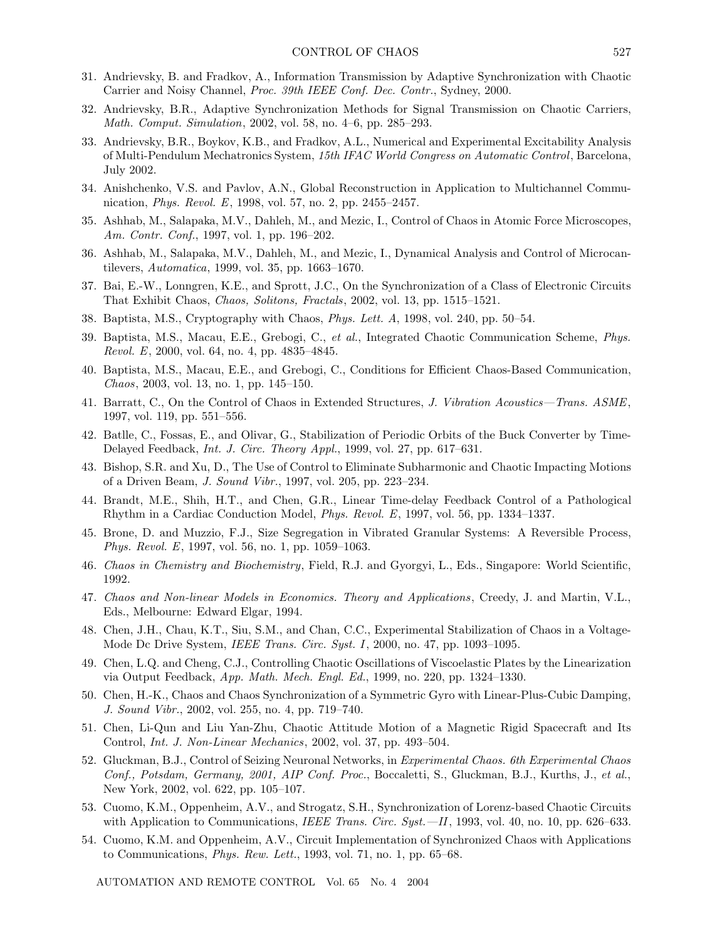- 31. Andrievsky, B. and Fradkov, A., Information Transmission by Adaptive Synchronization with Chaotic Carrier and Noisy Channel, Proc. 39th IEEE Conf. Dec. Contr., Sydney, 2000.
- 32. Andrievsky, B.R., Adaptive Synchronization Methods for Signal Transmission on Chaotic Carriers, Math. Comput. Simulation, 2002, vol. 58, no. 4–6, pp. 285–293.
- 33. Andrievsky, B.R., Boykov, K.B., and Fradkov, A.L., Numerical and Experimental Excitability Analysis of Multi-Pendulum Mechatronics System, 15th IFAC World Congress on Automatic Control, Barcelona, July 2002.
- 34. Anishchenko, V.S. and Pavlov, A.N., Global Reconstruction in Application to Multichannel Communication, Phys. Revol. E, 1998, vol. 57, no. 2, pp. 2455–2457.
- 35. Ashhab, M., Salapaka, M.V., Dahleh, M., and Mezic, I., Control of Chaos in Atomic Force Microscopes, Am. Contr. Conf., 1997, vol. 1, pp. 196–202.
- 36. Ashhab, M., Salapaka, M.V., Dahleh, M., and Mezic, I., Dynamical Analysis and Control of Microcantilevers, Automatica, 1999, vol. 35, pp. 1663–1670.
- 37. Bai, E.-W., Lonngren, K.E., and Sprott, J.C., On the Synchronization of a Class of Electronic Circuits That Exhibit Chaos, Chaos, Solitons, Fractals, 2002, vol. 13, pp. 1515–1521.
- 38. Baptista, M.S., Cryptography with Chaos, Phys. Lett. A, 1998, vol. 240, pp. 50–54.
- 39. Baptista, M.S., Macau, E.E., Grebogi, C., et al., Integrated Chaotic Communication Scheme, Phys. Revol. E, 2000, vol. 64, no. 4, pp. 4835–4845.
- 40. Baptista, M.S., Macau, E.E., and Grebogi, C., Conditions for Efficient Chaos-Based Communication, Chaos, 2003, vol. 13, no. 1, pp. 145–150.
- 41. Barratt, C., On the Control of Chaos in Extended Structures, J. Vibration Acoustics—Trans. ASME, 1997, vol. 119, pp. 551–556.
- 42. Batlle, C., Fossas, E., and Olivar, G., Stabilization of Periodic Orbits of the Buck Converter by Time-Delayed Feedback, Int. J. Circ. Theory Appl., 1999, vol. 27, pp. 617–631.
- 43. Bishop, S.R. and Xu, D., The Use of Control to Eliminate Subharmonic and Chaotic Impacting Motions of a Driven Beam, J. Sound Vibr., 1997, vol. 205, pp. 223–234.
- 44. Brandt, M.E., Shih, H.T., and Chen, G.R., Linear Time-delay Feedback Control of a Pathological Rhythm in a Cardiac Conduction Model, Phys. Revol. E, 1997, vol. 56, pp. 1334–1337.
- 45. Brone, D. and Muzzio, F.J., Size Segregation in Vibrated Granular Systems: A Reversible Process, Phys. Revol. E, 1997, vol. 56, no. 1, pp. 1059–1063.
- 46. Chaos in Chemistry and Biochemistry, Field, R.J. and Gyorgyi, L., Eds., Singapore: World Scientific, 1992.
- 47. Chaos and Non-linear Models in Economics. Theory and Applications, Creedy, J. and Martin, V.L., Eds., Melbourne: Edward Elgar, 1994.
- 48. Chen, J.H., Chau, K.T., Siu, S.M., and Chan, C.C., Experimental Stabilization of Chaos in a Voltage-Mode Dc Drive System, IEEE Trans. Circ. Syst. I, 2000, no. 47, pp. 1093–1095.
- 49. Chen, L.Q. and Cheng, C.J., Controlling Chaotic Oscillations of Viscoelastic Plates by the Linearization via Output Feedback, App. Math. Mech. Engl. Ed., 1999, no. 220, pp. 1324–1330.
- 50. Chen, H.-K., Chaos and Chaos Synchronization of a Symmetric Gyro with Linear-Plus-Cubic Damping, J. Sound Vibr., 2002, vol. 255, no. 4, pp. 719–740.
- 51. Chen, Li-Qun and Liu Yan-Zhu, Chaotic Attitude Motion of a Magnetic Rigid Spacecraft and Its Control, Int. J. Non-Linear Mechanics, 2002, vol. 37, pp. 493–504.
- 52. Gluckman, B.J., Control of Seizing Neuronal Networks, in Experimental Chaos. 6th Experimental Chaos Conf., Potsdam, Germany, 2001, AIP Conf. Proc., Boccaletti, S., Gluckman, B.J., Kurths, J., et al., New York, 2002, vol. 622, pp. 105–107.
- 53. Cuomo, K.M., Oppenheim, A.V., and Strogatz, S.H., Synchronization of Lorenz-based Chaotic Circuits with Application to Communications, IEEE Trans. Circ. Syst.—II, 1993, vol. 40, no. 10, pp. 626–633.
- 54. Cuomo, K.M. and Oppenheim, A.V., Circuit Implementation of Synchronized Chaos with Applications to Communications, Phys. Rew. Lett., 1993, vol. 71, no. 1, pp. 65–68.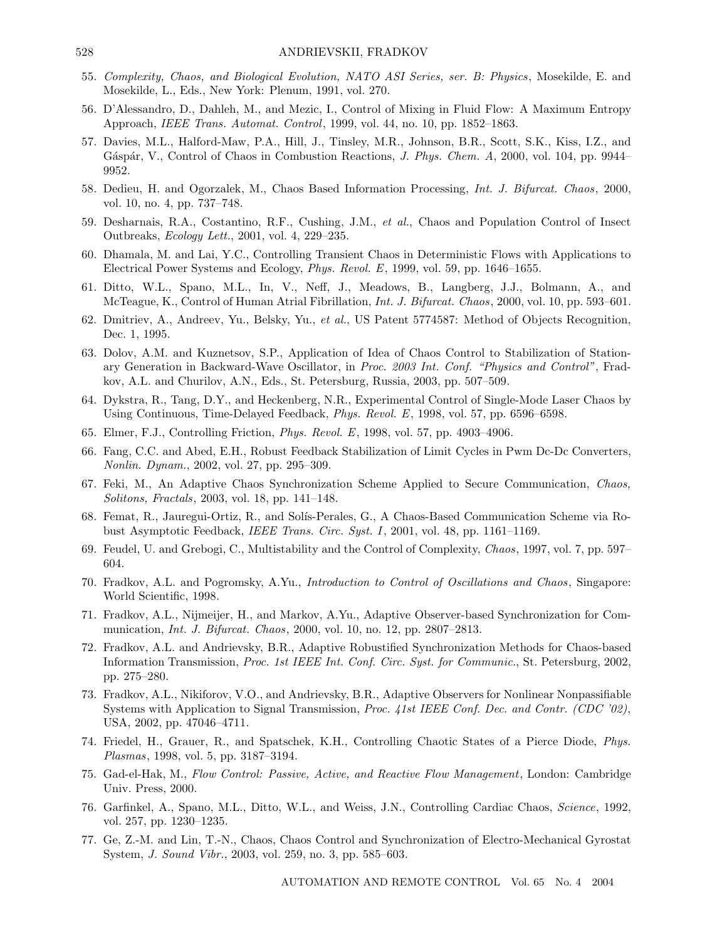- 55. Complexity, Chaos, and Biological Evolution, NATO ASI Series, ser. B: Physics, Mosekilde, E. and Mosekilde, L., Eds., New York: Plenum, 1991, vol. 270.
- 56. D'Alessandro, D., Dahleh, M., and Mezic, I., Control of Mixing in Fluid Flow: A Maximum Entropy Approach, IEEE Trans. Automat. Control, 1999, vol. 44, no. 10, pp. 1852–1863.
- 57. Davies, M.L., Halford-Maw, P.A., Hill, J., Tinsley, M.R., Johnson, B.R., Scott, S.K., Kiss, I.Z., and Gáspár, V., Control of Chaos in Combustion Reactions, J. Phys. Chem. A, 2000, vol. 104, pp. 9944– 9952.
- 58. Dedieu, H. and Ogorzalek, M., Chaos Based Information Processing, Int. J. Bifurcat. Chaos, 2000, vol. 10, no. 4, pp. 737–748.
- 59. Desharnais, R.A., Costantino, R.F., Cushing, J.M., et al., Chaos and Population Control of Insect Outbreaks, Ecology Lett., 2001, vol. 4, 229–235.
- 60. Dhamala, M. and Lai, Y.C., Controlling Transient Chaos in Deterministic Flows with Applications to Electrical Power Systems and Ecology, Phys. Revol. E, 1999, vol. 59, pp. 1646–1655.
- 61. Ditto, W.L., Spano, M.L., In, V., Neff, J., Meadows, B., Langberg, J.J., Bolmann, A., and McTeague, K., Control of Human Atrial Fibrillation, Int. J. Bifurcat. Chaos, 2000, vol. 10, pp. 593–601.
- 62. Dmitriev, A., Andreev, Yu., Belsky, Yu., et al., US Patent 5774587: Method of Objects Recognition, Dec. 1, 1995.
- 63. Dolov, A.M. and Kuznetsov, S.P., Application of Idea of Chaos Control to Stabilization of Stationary Generation in Backward-Wave Oscillator, in Proc. 2003 Int. Conf. "Physics and Control", Fradkov, A.L. and Churilov, A.N., Eds., St. Petersburg, Russia, 2003, pp. 507–509.
- 64. Dykstra, R., Tang, D.Y., and Heckenberg, N.R., Experimental Control of Single-Mode Laser Chaos by Using Continuous, Time-Delayed Feedback, Phys. Revol. E, 1998, vol. 57, pp. 6596–6598.
- 65. Elmer, F.J., Controlling Friction, Phys. Revol. E, 1998, vol. 57, pp. 4903–4906.
- 66. Fang, C.C. and Abed, E.H., Robust Feedback Stabilization of Limit Cycles in Pwm Dc-Dc Converters, Nonlin. Dynam., 2002, vol. 27, pp. 295–309.
- 67. Feki, M., An Adaptive Chaos Synchronization Scheme Applied to Secure Communication, Chaos, Solitons, Fractals, 2003, vol. 18, pp. 141–148.
- 68. Femat, R., Jauregui-Ortiz, R., and Solís-Perales, G., A Chaos-Based Communication Scheme via Robust Asymptotic Feedback, IEEE Trans. Circ. Syst. I, 2001, vol. 48, pp. 1161–1169.
- 69. Feudel, U. and Grebogi, C., Multistability and the Control of Complexity, Chaos, 1997, vol. 7, pp. 597– 604.
- 70. Fradkov, A.L. and Pogromsky, A.Yu., Introduction to Control of Oscillations and Chaos, Singapore: World Scientific, 1998.
- 71. Fradkov, A.L., Nijmeijer, H., and Markov, A.Yu., Adaptive Observer-based Synchronization for Communication, Int. J. Bifurcat. Chaos, 2000, vol. 10, no. 12, pp. 2807–2813.
- 72. Fradkov, A.L. and Andrievsky, B.R., Adaptive Robustified Synchronization Methods for Chaos-based Information Transmission, Proc. 1st IEEE Int. Conf. Circ. Syst. for Communic., St. Petersburg, 2002, pp. 275–280.
- 73. Fradkov, A.L., Nikiforov, V.O., and Andrievsky, B.R., Adaptive Observers for Nonlinear Nonpassifiable Systems with Application to Signal Transmission, Proc. 41st IEEE Conf. Dec. and Contr. (CDC '02), USA, 2002, pp. 47046–4711.
- 74. Friedel, H., Grauer, R., and Spatschek, K.H., Controlling Chaotic States of a Pierce Diode, Phys. Plasmas, 1998, vol. 5, pp. 3187–3194.
- 75. Gad-el-Hak, M., Flow Control: Passive, Active, and Reactive Flow Management, London: Cambridge Univ. Press, 2000.
- 76. Garfinkel, A., Spano, M.L., Ditto, W.L., and Weiss, J.N., Controlling Cardiac Chaos, Science, 1992, vol. 257, pp. 1230–1235.
- 77. Ge, Z.-M. and Lin, T.-N., Chaos, Chaos Control and Synchronization of Electro-Mechanical Gyrostat System, J. Sound Vibr., 2003, vol. 259, no. 3, pp. 585–603.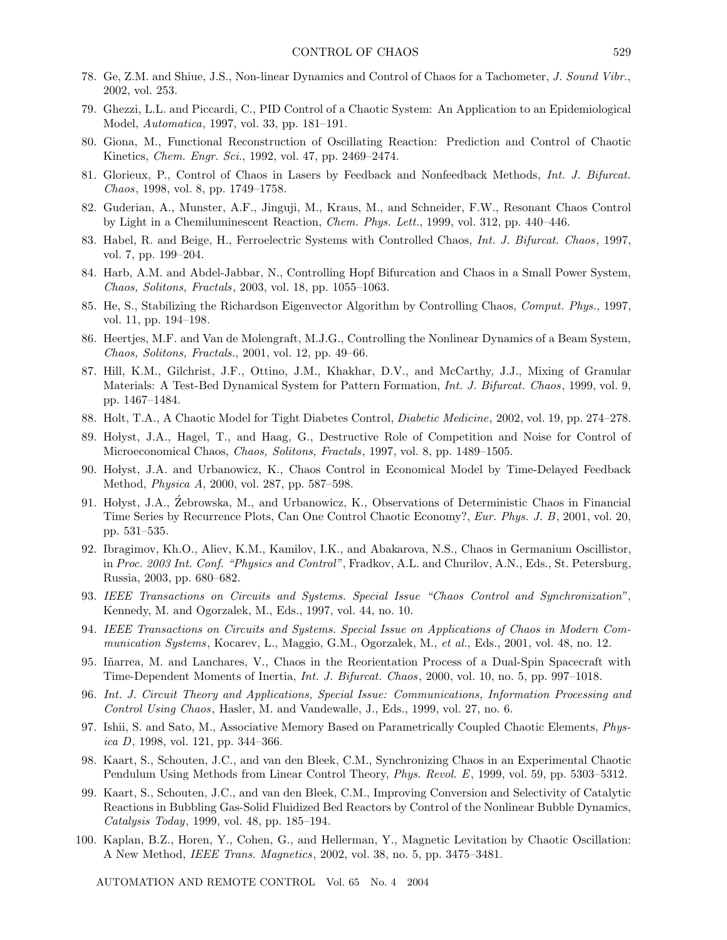- 78. Ge, Z.M. and Shiue, J.S., Non-linear Dynamics and Control of Chaos for a Tachometer, J. Sound Vibr., 2002, vol. 253.
- 79. Ghezzi, L.L. and Piccardi, C., PID Control of a Chaotic System: An Application to an Epidemiological Model, Automatica, 1997, vol. 33, pp. 181–191.
- 80. Giona, M., Functional Reconstruction of Oscillating Reaction: Prediction and Control of Chaotic Kinetics, Chem. Engr. Sci., 1992, vol. 47, pp. 2469–2474.
- 81. Glorieux, P., Control of Chaos in Lasers by Feedback and Nonfeedback Methods, *Int. J. Bifurcat.* Chaos, 1998, vol. 8, pp. 1749–1758.
- 82. Guderian, A., Munster, A.F., Jinguji, M., Kraus, M., and Schneider, F.W., Resonant Chaos Control by Light in a Chemiluminescent Reaction, Chem. Phys. Lett., 1999, vol. 312, pp. 440–446.
- 83. Habel, R. and Beige, H., Ferroelectric Systems with Controlled Chaos, Int. J. Bifurcat. Chaos, 1997, vol. 7, pp. 199–204.
- 84. Harb, A.M. and Abdel-Jabbar, N., Controlling Hopf Bifurcation and Chaos in a Small Power System, Chaos, Solitons, Fractals, 2003, vol. 18, pp. 1055–1063.
- 85. He, S., Stabilizing the Richardson Eigenvector Algorithm by Controlling Chaos, Comput. Phys., 1997, vol. 11, pp. 194–198.
- 86. Heertjes, M.F. and Van de Molengraft, M.J.G., Controlling the Nonlinear Dynamics of a Beam System, Chaos, Solitons, Fractals., 2001, vol. 12, pp. 49–66.
- 87. Hill, K.M., Gilchrist, J.F., Ottino, J.M., Khakhar, D.V., and McCarthy, J.J., Mixing of Granular Materials: A Test-Bed Dynamical System for Pattern Formation, Int. J. Bifurcat. Chaos, 1999, vol. 9, pp. 1467–1484.
- 88. Holt, T.A., A Chaotic Model for Tight Diabetes Control, Diabetic Medicine, 2002, vol. 19, pp. 274–278.
- 89. Holyst, J.A., Hagel, T., and Haag, G., Destructive Role of Competition and Noise for Control of Microeconomical Chaos, Chaos, Solitons, Fractals, 1997, vol. 8, pp. 1489–1505.
- 90. Holyst, J.A. and Urbanowicz, K., Chaos Control in Economical Model by Time-Delayed Feedback Method, Physica A, 2000, vol. 287, pp. 587–598.
- 91. Holyst, J.A., Zebrowska, M., and Urbanowicz, K., Observations of Deterministic Chaos in Financial Time Series by Recurrence Plots, Can One Control Chaotic Economy?, Eur. Phys. J. B, 2001, vol. 20, pp. 531–535.
- 92. Ibragimov, Kh.O., Aliev, K.M., Kamilov, I.K., and Abakarova, N.S., Chaos in Germanium Oscillistor, in Proc. 2003 Int. Conf. "Physics and Control", Fradkov, A.L. and Churilov, A.N., Eds., St. Petersburg, Russia, 2003, pp. 680–682.
- 93. IEEE Transactions on Circuits and Systems. Special Issue "Chaos Control and Synchronization", Kennedy, M. and Ogorzalek, M., Eds., 1997, vol. 44, no. 10.
- 94. IEEE Transactions on Circuits and Systems. Special Issue on Applications of Chaos in Modern Communication Systems, Kocarev, L., Maggio, G.M., Ogorzalek, M., et al., Eds., 2001, vol. 48, no. 12.
- 95. Iñarrea, M. and Lanchares, V., Chaos in the Reorientation Process of a Dual-Spin Spacecraft with Time-Dependent Moments of Inertia, Int. J. Bifurcat. Chaos, 2000, vol. 10, no. 5, pp. 997–1018.
- 96. Int. J. Circuit Theory and Applications, Special Issue: Communications, Information Processing and Control Using Chaos, Hasler, M. and Vandewalle, J., Eds., 1999, vol. 27, no. 6.
- 97. Ishii, S. and Sato, M., Associative Memory Based on Parametrically Coupled Chaotic Elements, Physica D, 1998, vol. 121, pp. 344-366.
- 98. Kaart, S., Schouten, J.C., and van den Bleek, C.M., Synchronizing Chaos in an Experimental Chaotic Pendulum Using Methods from Linear Control Theory, Phys. Revol. E, 1999, vol. 59, pp. 5303–5312.
- 99. Kaart, S., Schouten, J.C., and van den Bleek, C.M., Improving Conversion and Selectivity of Catalytic Reactions in Bubbling Gas-Solid Fluidized Bed Reactors by Control of the Nonlinear Bubble Dynamics, Catalysis Today, 1999, vol. 48, pp. 185–194.
- 100. Kaplan, B.Z., Horen, Y., Cohen, G., and Hellerman, Y., Magnetic Levitation by Chaotic Oscillation: A New Method, IEEE Trans. Magnetics, 2002, vol. 38, no. 5, pp. 3475–3481.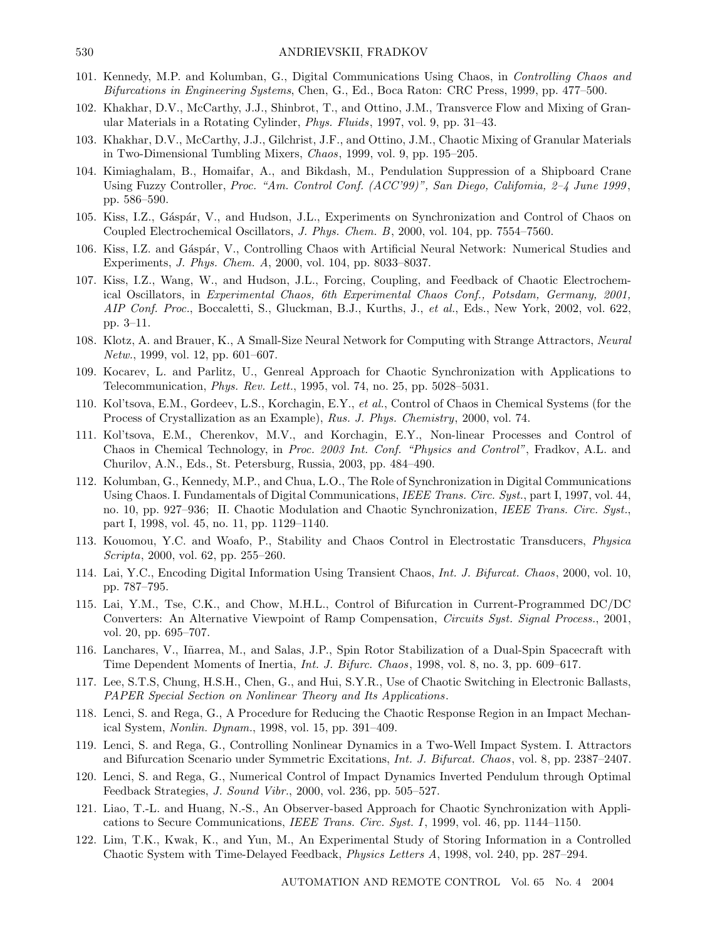- 101. Kennedy, M.P. and Kolumban, G., Digital Communications Using Chaos, in Controlling Chaos and Bifurcations in Engineering Systems, Chen, G., Ed., Boca Raton: CRC Press, 1999, pp. 477–500.
- 102. Khakhar, D.V., McCarthy, J.J., Shinbrot, T., and Ottino, J.M., Transverce Flow and Mixing of Granular Materials in a Rotating Cylinder, Phys. Fluids, 1997, vol. 9, pp. 31–43.
- 103. Khakhar, D.V., McCarthy, J.J., Gilchrist, J.F., and Ottino, J.M., Chaotic Mixing of Granular Materials in Two-Dimensional Tumbling Mixers, Chaos, 1999, vol. 9, pp. 195–205.
- 104. Kimiaghalam, B., Homaifar, A., and Bikdash, M., Pendulation Suppression of a Shipboard Crane Using Fuzzy Controller, Proc. "Am. Control Conf. (ACC'99)", San Diego, Califomia, 2–4 June 1999, pp. 586–590.
- 105. Kiss, I.Z., Gáspár, V., and Hudson, J.L., Experiments on Synchronization and Control of Chaos on Coupled Electrochemical Oscillators, J. Phys. Chem. B, 2000, vol. 104, pp. 7554–7560.
- 106. Kiss, I.Z. and Gáspár, V., Controlling Chaos with Artificial Neural Network: Numerical Studies and Experiments, J. Phys. Chem. A, 2000, vol. 104, pp. 8033–8037.
- 107. Kiss, I.Z., Wang, W., and Hudson, J.L., Forcing, Coupling, and Feedback of Chaotic Electrochemical Oscillators, in Experimental Chaos, 6th Experimental Chaos Conf., Potsdam, Germany, 2001, AIP Conf. Proc., Boccaletti, S., Gluckman, B.J., Kurths, J., et al., Eds., New York, 2002, vol. 622, pp. 3–11.
- 108. Klotz, A. and Brauer, K., A Small-Size Neural Network for Computing with Strange Attractors, Neural Netw., 1999, vol. 12, pp. 601–607.
- 109. Kocarev, L. and Parlitz, U., Genreal Approach for Chaotic Synchronization with Applications to Telecommunication, Phys. Rev. Lett., 1995, vol. 74, no. 25, pp. 5028–5031.
- 110. Kol'tsova, E.M., Gordeev, L.S., Korchagin, E.Y., et al., Control of Chaos in Chemical Systems (for the Process of Crystallization as an Example), Rus. J. Phys. Chemistry, 2000, vol. 74.
- 111. Kol'tsova, E.M., Cherenkov, M.V., and Korchagin, E.Y., Non-linear Processes and Control of Chaos in Chemical Technology, in Proc. 2003 Int. Conf. "Physics and Control", Fradkov, A.L. and Churilov, A.N., Eds., St. Petersburg, Russia, 2003, pp. 484–490.
- 112. Kolumban, G., Kennedy, M.P., and Chua, L.O., The Role of Synchronization in Digital Communications Using Chaos. I. Fundamentals of Digital Communications, IEEE Trans. Circ. Syst., part I, 1997, vol. 44, no. 10, pp. 927–936; II. Chaotic Modulation and Chaotic Synchronization, IEEE Trans. Circ. Syst., part I, 1998, vol. 45, no. 11, pp. 1129–1140.
- 113. Kouomou, Y.C. and Woafo, P., Stability and Chaos Control in Electrostatic Transducers, Physica Scripta, 2000, vol. 62, pp. 255–260.
- 114. Lai, Y.C., Encoding Digital Information Using Transient Chaos, Int. J. Bifurcat. Chaos, 2000, vol. 10, pp. 787–795.
- 115. Lai, Y.M., Tse, C.K., and Chow, M.H.L., Control of Bifurcation in Current-Programmed DC/DC Converters: An Alternative Viewpoint of Ramp Compensation, Circuits Syst. Signal Process., 2001, vol. 20, pp. 695–707.
- 116. Lanchares, V., Iñarrea, M., and Salas, J.P., Spin Rotor Stabilization of a Dual-Spin Spacecraft with Time Dependent Moments of Inertia, Int. J. Bifurc. Chaos, 1998, vol. 8, no. 3, pp. 609–617.
- 117. Lee, S.T.S, Chung, H.S.H., Chen, G., and Hui, S.Y.R., Use of Chaotic Switching in Electronic Ballasts, PAPER Special Section on Nonlinear Theory and Its Applications.
- 118. Lenci, S. and Rega, G., A Procedure for Reducing the Chaotic Response Region in an Impact Mechanical System, Nonlin. Dynam., 1998, vol. 15, pp. 391–409.
- 119. Lenci, S. and Rega, G., Controlling Nonlinear Dynamics in a Two-Well Impact System. I. Attractors and Bifurcation Scenario under Symmetric Excitations, Int. J. Bifurcat. Chaos, vol. 8, pp. 2387–2407.
- 120. Lenci, S. and Rega, G., Numerical Control of Impact Dynamics Inverted Pendulum through Optimal Feedback Strategies, J. Sound Vibr., 2000, vol. 236, pp. 505–527.
- 121. Liao, T.-L. and Huang, N.-S., An Observer-based Approach for Chaotic Synchronization with Applications to Secure Communications, IEEE Trans. Circ. Syst. I, 1999, vol. 46, pp. 1144–1150.
- 122. Lim, T.K., Kwak, K., and Yun, M., An Experimental Study of Storing Information in a Controlled Chaotic System with Time-Delayed Feedback, Physics Letters A, 1998, vol. 240, pp. 287–294.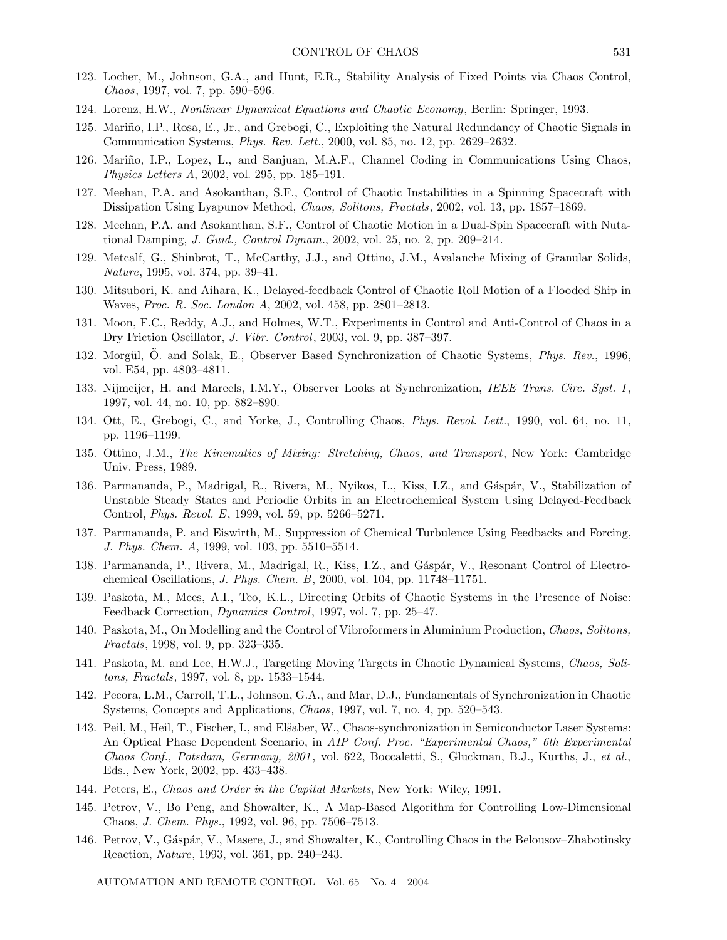- 123. Locher, M., Johnson, G.A., and Hunt, E.R., Stability Analysis of Fixed Points via Chaos Control, Chaos, 1997, vol. 7, pp. 590–596.
- 124. Lorenz, H.W., Nonlinear Dynamical Equations and Chaotic Economy, Berlin: Springer, 1993.
- 125. Mari˜no, I.P., Rosa, E., Jr., and Grebogi, C., Exploiting the Natural Redundancy of Chaotic Signals in Communication Systems, Phys. Rev. Lett., 2000, vol. 85, no. 12, pp. 2629–2632.
- 126. Mariño, I.P., Lopez, L., and Sanjuan, M.A.F., Channel Coding in Communications Using Chaos, Physics Letters A, 2002, vol. 295, pp. 185–191.
- 127. Meehan, P.A. and Asokanthan, S.F., Control of Chaotic Instabilities in a Spinning Spacecraft with Dissipation Using Lyapunov Method, Chaos, Solitons, Fractals, 2002, vol. 13, pp. 1857–1869.
- 128. Meehan, P.A. and Asokanthan, S.F., Control of Chaotic Motion in a Dual-Spin Spacecraft with Nutational Damping, J. Guid., Control Dynam., 2002, vol. 25, no. 2, pp. 209–214.
- 129. Metcalf, G., Shinbrot, T., McCarthy, J.J., and Ottino, J.M., Avalanche Mixing of Granular Solids, Nature, 1995, vol. 374, pp. 39–41.
- 130. Mitsubori, K. and Aihara, K., Delayed-feedback Control of Chaotic Roll Motion of a Flooded Ship in Waves, Proc. R. Soc. London A, 2002, vol. 458, pp. 2801–2813.
- 131. Moon, F.C., Reddy, A.J., and Holmes, W.T., Experiments in Control and Anti-Control of Chaos in a Dry Friction Oscillator, J. Vibr. Control, 2003, vol. 9, pp. 387–397.
- 132. Morgül, Ö. and Solak, E., Observer Based Synchronization of Chaotic Systems, Phys. Rev., 1996, vol. E54, pp. 4803–4811.
- 133. Nijmeijer, H. and Mareels, I.M.Y., Observer Looks at Synchronization, IEEE Trans. Circ. Syst. I, 1997, vol. 44, no. 10, pp. 882–890.
- 134. Ott, E., Grebogi, C., and Yorke, J., Controlling Chaos, Phys. Revol. Lett., 1990, vol. 64, no. 11, pp. 1196–1199.
- 135. Ottino, J.M., The Kinematics of Mixing: Stretching, Chaos, and Transport, New York: Cambridge Univ. Press, 1989.
- 136. Parmananda, P., Madrigal, R., Rivera, M., Nyikos, L., Kiss, I.Z., and Gáspár, V., Stabilization of Unstable Steady States and Periodic Orbits in an Electrochemical System Using Delayed-Feedback Control, Phys. Revol. E, 1999, vol. 59, pp. 5266–5271.
- 137. Parmananda, P. and Eiswirth, M., Suppression of Chemical Turbulence Using Feedbacks and Forcing, J. Phys. Chem. A, 1999, vol. 103, pp. 5510–5514.
- 138. Parmananda, P., Rivera, M., Madrigal, R., Kiss, I.Z., and Gáspár, V., Resonant Control of Electrochemical Oscillations, J. Phys. Chem. B, 2000, vol. 104, pp. 11748–11751.
- 139. Paskota, M., Mees, A.I., Teo, K.L., Directing Orbits of Chaotic Systems in the Presence of Noise: Feedback Correction, Dynamics Control, 1997, vol. 7, pp. 25–47.
- 140. Paskota, M., On Modelling and the Control of Vibroformers in Aluminium Production, Chaos, Solitons, Fractals, 1998, vol. 9, pp. 323–335.
- 141. Paskota, M. and Lee, H.W.J., Targeting Moving Targets in Chaotic Dynamical Systems, Chaos, Solitons, Fractals, 1997, vol. 8, pp. 1533–1544.
- 142. Pecora, L.M., Carroll, T.L., Johnson, G.A., and Mar, D.J., Fundamentals of Synchronization in Chaotic Systems, Concepts and Applications, Chaos, 1997, vol. 7, no. 4, pp. 520–543.
- 143. Peil, M., Heil, T., Fischer, I., and Eläaber, W., Chaos-synchronization in Semiconductor Laser Systems: An Optical Phase Dependent Scenario, in AIP Conf. Proc. "Experimental Chaos," 6th Experimental Chaos Conf., Potsdam, Germany, 2001, vol. 622, Boccaletti, S., Gluckman, B.J., Kurths, J., et al., Eds., New York, 2002, pp. 433–438.
- 144. Peters, E., Chaos and Order in the Capital Markets, New York: Wiley, 1991.
- 145. Petrov, V., Bo Peng, and Showalter, K., A Map-Based Algorithm for Controlling Low-Dimensional Chaos, J. Chem. Phys., 1992, vol. 96, pp. 7506–7513.
- 146. Petrov, V., Gáspár, V., Masere, J., and Showalter, K., Controlling Chaos in the Belousov–Zhabotinsky Reaction, Nature, 1993, vol. 361, pp. 240–243.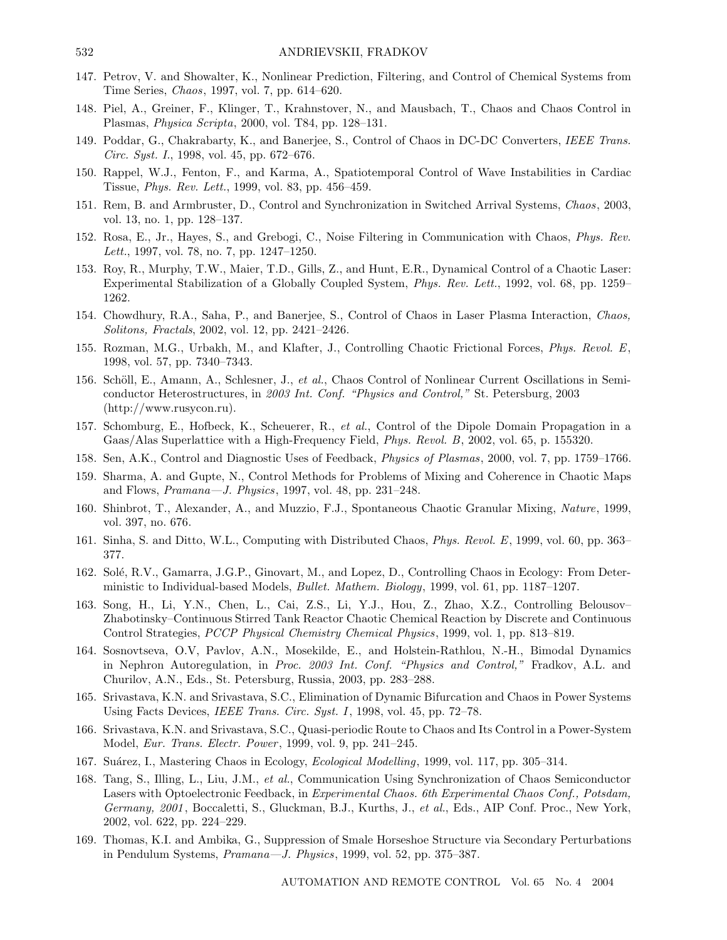- 147. Petrov, V. and Showalter, K., Nonlinear Prediction, Filtering, and Control of Chemical Systems from Time Series, Chaos, 1997, vol. 7, pp. 614–620.
- 148. Piel, A., Greiner, F., Klinger, T., Krahnstover, N., and Mausbach, T., Chaos and Chaos Control in Plasmas, Physica Scripta, 2000, vol. T84, pp. 128–131.
- 149. Poddar, G., Chakrabarty, K., and Banerjee, S., Control of Chaos in DC-DC Converters, IEEE Trans. Circ. Syst. I., 1998, vol. 45, pp. 672–676.
- 150. Rappel, W.J., Fenton, F., and Karma, A., Spatiotemporal Control of Wave Instabilities in Cardiac Tissue, Phys. Rev. Lett., 1999, vol. 83, pp. 456–459.
- 151. Rem, B. and Armbruster, D., Control and Synchronization in Switched Arrival Systems, Chaos, 2003, vol. 13, no. 1, pp. 128–137.
- 152. Rosa, E., Jr., Hayes, S., and Grebogi, C., Noise Filtering in Communication with Chaos, Phys. Rev. Lett., 1997, vol. 78, no. 7, pp. 1247–1250.
- 153. Roy, R., Murphy, T.W., Maier, T.D., Gills, Z., and Hunt, E.R., Dynamical Control of a Chaotic Laser: Experimental Stabilization of a Globally Coupled System, Phys. Rev. Lett., 1992, vol. 68, pp. 1259– 1262.
- 154. Chowdhury, R.A., Saha, P., and Banerjee, S., Control of Chaos in Laser Plasma Interaction, Chaos, Solitons, Fractals, 2002, vol. 12, pp. 2421–2426.
- 155. Rozman, M.G., Urbakh, M., and Klafter, J., Controlling Chaotic Frictional Forces, Phys. Revol. E, 1998, vol. 57, pp. 7340–7343.
- 156. Schöll, E., Amann, A., Schlesner, J., et al., Chaos Control of Nonlinear Current Oscillations in Semiconductor Heterostructures, in 2003 Int. Conf. "Physics and Control," St. Petersburg, 2003 (http://www.rusycon.ru).
- 157. Schomburg, E., Hofbeck, K., Scheuerer, R., et al., Control of the Dipole Domain Propagation in a Gaas/Alas Superlattice with a High-Frequency Field, Phys. Revol. B, 2002, vol. 65, p. 155320.
- 158. Sen, A.K., Control and Diagnostic Uses of Feedback, Physics of Plasmas, 2000, vol. 7, pp. 1759–1766.
- 159. Sharma, A. and Gupte, N., Control Methods for Problems of Mixing and Coherence in Chaotic Maps and Flows, Pramana—J. Physics, 1997, vol. 48, pp. 231–248.
- 160. Shinbrot, T., Alexander, A., and Muzzio, F.J., Spontaneous Chaotic Granular Mixing, Nature, 1999, vol. 397, no. 676.
- 161. Sinha, S. and Ditto, W.L., Computing with Distributed Chaos, Phys. Revol. E, 1999, vol. 60, pp. 363– 377.
- 162. Solé, R.V., Gamarra, J.G.P., Ginovart, M., and Lopez, D., Controlling Chaos in Ecology: From Deterministic to Individual-based Models, Bullet. Mathem. Biology, 1999, vol. 61, pp. 1187–1207.
- 163. Song, H., Li, Y.N., Chen, L., Cai, Z.S., Li, Y.J., Hou, Z., Zhao, X.Z., Controlling Belousov– Zhabotinsky–Continuous Stirred Tank Reactor Chaotic Chemical Reaction by Discrete and Continuous Control Strategies, PCCP Physical Chemistry Chemical Physics, 1999, vol. 1, pp. 813–819.
- 164. Sosnovtseva, O.V, Pavlov, A.N., Mosekilde, E., and Holstein-Rathlou, N.-H., Bimodal Dynamics in Nephron Autoregulation, in Proc. 2003 Int. Conf. "Physics and Control," Fradkov, A.L. and Churilov, A.N., Eds., St. Petersburg, Russia, 2003, pp. 283–288.
- 165. Srivastava, K.N. and Srivastava, S.C., Elimination of Dynamic Bifurcation and Chaos in Power Systems Using Facts Devices, IEEE Trans. Circ. Syst. I, 1998, vol. 45, pp. 72–78.
- 166. Srivastava, K.N. and Srivastava, S.C., Quasi-periodic Route to Chaos and Its Control in a Power-System Model, Eur. Trans. Electr. Power, 1999, vol. 9, pp. 241–245.
- 167. Suárez, I., Mastering Chaos in Ecology, *Ecological Modelling*, 1999, vol. 117, pp. 305–314.
- 168. Tang, S., Illing, L., Liu, J.M., et al., Communication Using Synchronization of Chaos Semiconductor Lasers with Optoelectronic Feedback, in Experimental Chaos. 6th Experimental Chaos Conf., Potsdam, Germany, 2001, Boccaletti, S., Gluckman, B.J., Kurths, J., et al., Eds., AIP Conf. Proc., New York, 2002, vol. 622, pp. 224–229.
- 169. Thomas, K.I. and Ambika, G., Suppression of Smale Horseshoe Structure via Secondary Perturbations in Pendulum Systems, Pramana—J. Physics, 1999, vol. 52, pp. 375–387.